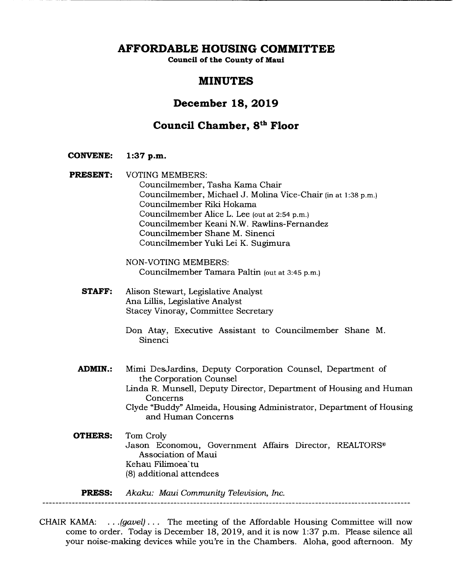**AFFORDABLE HOUSING COMMITTEE** 

**Council of the County of Maui** 

# **MINUTES**

# **December 18, 2019**

# **Council Chamber, Si" Floor**

**CONVENE: 1:37 p.m.** 

**PRESENT:** VOTING MEMBERS: Councilmember, Tasha Kama Chair Councilmember, Michael J. Molina Vice-Chair (in at 1:38 p.m.) Councilmember Riki Hokama Councilmember Alice L. Lee (out at 2:54 p.m.) Councilmember Keani N.W. Rawlins-Fernandez Councilmember Shane M. Sinenci Councilmember Yuki Lei K. Sugimura

> NON-VOTING MEMBERS: Councilmember Tamara Paltin (out at 3:45 p.m.)

**STAFF:** Alison Stewart, Legislative Analyst Ana Lillis, Legislative Analyst Stacey Vinoray, Committee Secretary

> Don Atay, Executive Assistant to Councilmember Shane M. Sinenci

**ADMIN.:** Mimi DesJardins, Deputy Corporation Counsel, Department of the Corporation Counsel Linda R. Munsell, Deputy Director, Department of Housing and Human Concerns Clyde "Buddy" Almeida, Housing Administrator, Department of Housing and Human Concerns **OTHERS:** Tom Croly

Jason Economou, Government Affairs Director, REALTORS® Association of Maui Kehau Filimoea'tu (8) additional attendees

**PRESS:** *Akaku: Maui Community Television, Inc.* 

CHAIR KAMA: . . . *(gavel)...* The meeting of the Affordable Housing Committee will now come to order. Today is December 18, 2019, and it is now 1:37 p.m. Please silence all your noise-making devices while you're in the Chambers. Aloha, good afternoon. My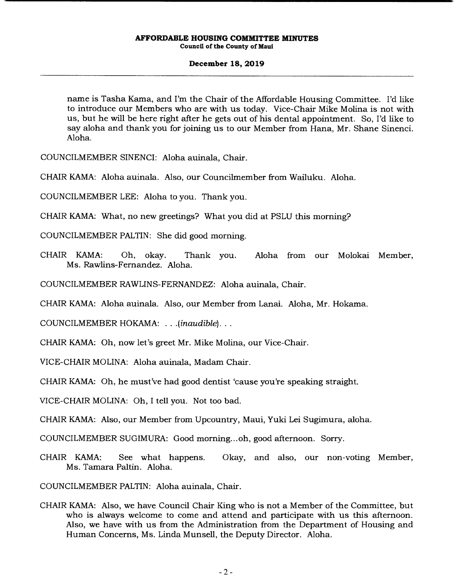# **December 18, 2019**

name is Tasha Kama, and I'm the Chair of the Affordable Housing Committee. I'd like to introduce our Members who are with us today. Vice-Chair Mike Molina is not with us, but he will be here right after he gets out of his dental appointment. So, I'd like to say aloha and thank you for joining us to our Member from Hana, Mr. Shane Sinenci. Aloha.

COUNCILMEMBER SINENCI: Aloha auinala, Chair.

CHAIR KAMA: Aloha auinala. Also, our Councilmember from Wailuku. Aloha.

COUNCILMEMBER LEE: Aloha to you. Thank you.

CHAIR KAMA: What, no new greetings? What you did at PSLU this morning?

COUNCILMEMBER PALTIN: She did good morning.

- CHAIR KAMA: Oh, okay. Thank you. Aloha from our Molokai Member, Ms. Rawlins-Fernandez. Aloha.
- COUNCILMEMBER RAWLINS-FERNANDEZ: Aloha auinala, Chair.

CHAIR KAMA: Aloha auinala. Also, our Member from Lanai. Aloha, Mr. Hokama.

COUNCILMEMBER HOKAMA: *.. .(inaudible)...* 

CHAIR KAMA: Oh, now let's greet Mr. Mike Molina, our Vice-Chair.

VICE-CHAIR MOLINA: Aloha auinala, Madam Chair.

CHAIR KAMA: Oh, he must've had good dentist 'cause you're speaking straight.

VICE-CHAIR MOLINA: Oh, I tell you. Not too bad.

CHAIR KAMA: Also, our Member from Upcountry, Maui, Yuki Lei Sugimura, aloha.

COUNCILMEMBER SUGIMURA: Good morning.., oh, good afternoon. Sorry.

CHAIR KAMA: See what happens. Okay, and also, our non-voting Member, Ms. Tamara Paltin. Aloha.

COUNCILMEMBER PALTIN: Aloha auinala, Chair.

CHAIR KAMA: Also, we have Council Chair King who is not a Member of the Committee, but who is always welcome to come and attend and participate with us this afternoon. Also, we have with us from the Administration from the Department of Housing and Human Concerns, Ms. Linda Munsell, the Deputy Director. Aloha.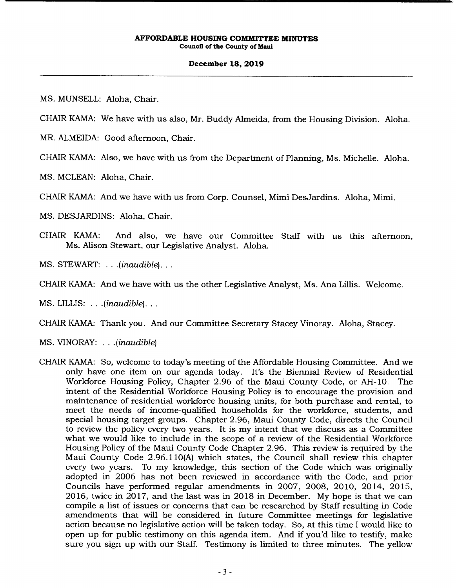# **December 18, 2019**

MS. MUNSELL: Aloha, Chair.

CHAIR KAMA: We have with us also, Mr. Buddy Almeida, from the Housing Division. Aloha.

MR. ALMEIDA: Good afternoon, Chair.

CHAIR KAMA: Also, we have with us from the Department of Planning, Ms. Michelle. Aloha.

MS. MCLEAN: Aloha, Chair.

CHAIR KAMA: And we have with us from Corp. Counsel, Mimi DesJardins. Aloha, Mimi.

MS. DESJARDINS: Aloha, Chair.

- CHAIR KAMA: And also, we have our Committee Staff with us this afternoon, Ms. Alison Stewart, our Legislative Analyst. Aloha.
- *MS. STEWART:* . . *.(*inaudible)...

CHAIR KAMA: And we have with us the other Legislative Analyst, Ms. Ana Lillis. Welcome.

*MS. LILLIS:* . . *.(*inaudible)...

CHAIR KAMA: Thank you. And our Committee Secretary Stacey Vinoray. Aloha, Stacey.

MS. VINORAY: ...(inaudible)

CHAIR KAMA: So, welcome to today's meeting of the Affordable Housing Committee. And we only have one item on our agenda today. It's the Biennial Review of Residential Workforce Housing Policy, Chapter 2.96 of the Maui County Code, or AH- 10. The intent of the Residential Workforce Housing Policy is to encourage the provision and maintenance of residential workforce housing units, for both purchase and rental, to meet the needs of income-qualified households for the workforce, students, and special housing target groups. Chapter 2.96, Maui County Code, directs the Council to review the policy every two years. It is my intent that we discuss as a Committee what we would like to include in the scope of a review of the Residential Workforce Housing Policy of the Maui County Code Chapter 2.96. This review is required by the Maui County Code 2.96.110(A) which states, the Council shall review this chapter every two years. To my knowledge, this section of the Code which was originally adopted in 2006 has not been reviewed in accordance with the Code, and prior Councils have performed regular amendments in 2007, 2008, 2010, 2014, 2015, 2016, twice in 2017, and the last was in 2018 in December. My hope is that we can compile a list of issues or concerns that can be researched by Staff resulting in Code amendments that will be considered in future Committee meetings for legislative action because no legislative action will be taken today. So, at this time I would like to open up for public testimony on this agenda item. And if you'd like to testify, make sure you sign up with our Staff. Testimony is limited to three minutes. The yellow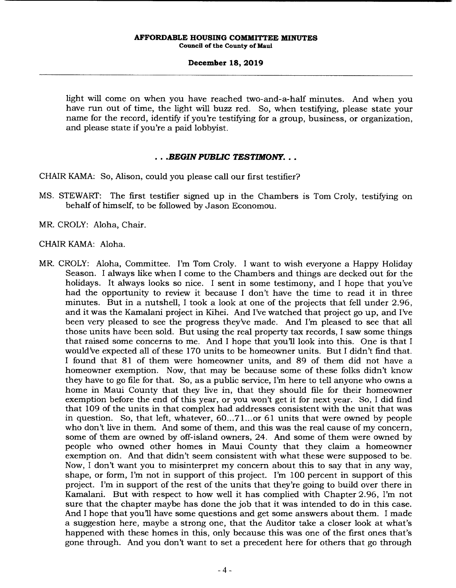# **December 18, 2019**

light will come on when you have reached two-and-a-half minutes. And when you have run out of time, the light will buzz red. So, when testifying, please state your name for the record, identify if you're testifying for a group, business, or organization, and please state if you're a paid lobbyist.

# *• .BEGIN PUBLIC TESTIMONY...*

CHAIR KAMA: So, Alison, could you please call our first testifier?

- MS. STEWART: The first testifier signed up in the Chambers is Tom Croly, testifying on behalf of himself, to be followed by Jason Economou.
- MR. CROLY: Aloha, Chair.

# CHAIR KAMA: Aloha.

MR. CROLY: Aloha, Committee. I'm Tom Croly. I want to wish everyone a Happy Holiday Season. I always like when I come to the Chambers and things are decked out for the holidays. It always looks so nice. I sent in some testimony, and I hope that you've had the opportunity to review it because I don't have the time to read it in three minutes. But in a nutshell, I took a look at one of the projects that fell under 2.96, and it was the Kamalani project in Kihei. And I've watched that project go up, and I've been very pleased to see the progress they've made. And I'm pleased to see that all those units have been sold. But using the real property tax records, I saw some things that raised some concerns to me. And I hope that you'll look into this. One is that I would've expected all of these 170 units to be homeowner units. But I didn't find that. I found that 81 of them were homeowner units, and 89 of them did not have a homeowner exemption. Now, that may be because some of these folks didn't know they have to go file for that. So, as a public service, I'm here to tell anyone who owns a home in Maui County that they live in, that they should file for their homeowner exemption before the end of this year, or you won't get it for next year. So, I did find that 109 of the units in that complex had addresses consistent with the unit that was in question. So, that left, whatever,  $60...71...$  or 61 units that were owned by people who don't live in them. And some of them, and this was the real cause of my concern, some of them are owned by off-island owners, 24. And some of them were owned by people who owned other homes in Maui County that they claim a homeowner exemption on. And that didn't seem consistent with what these were supposed to be. Now, I don't want you to misinterpret my concern about this to say that in any way, shape, or form, I'm not in support of this project. I'm 100 percent in support of this project. I'm in support of the rest of the units that they're going to build over there in Kamalani. But with respect to how well it has complied with Chapter 2.96, I'm not sure that the chapter maybe has done the job that it was intended to do in this case. And I hope that you'll have some questions and get some answers about them. I made a suggestion here, maybe a strong one, that the Auditor take a closer look at what's happened with these homes in this, only because this was one of the first ones that's gone through. And you don't want to set a precedent here for others that go through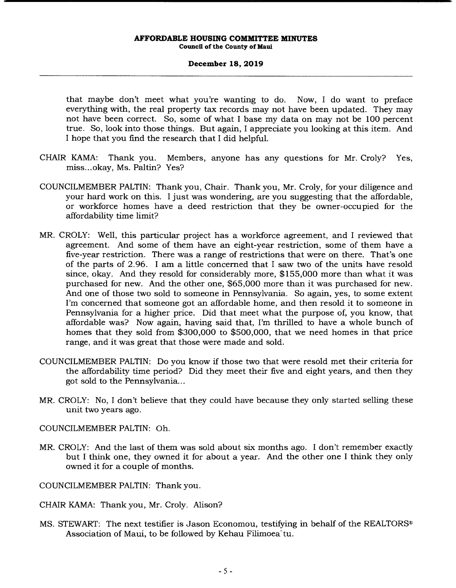# **December 18, 2019**

that maybe don't meet what you're wanting to do. Now, I do want to preface everything with, the real property tax records may not have been updated. They may not have been correct. So, some of what I base my data on may not be 100 percent true. So, look into those things. But again, I appreciate you looking at this item. And I hope that you find the research that I did helpful.

- CHAIR KAMA: Thank you. Members, anyone has any questions for Mr. Croly? Yes, miss.. .okay, Ms. Paltin? Yes?
- COUNCILMEMBER PALTIN: Thank you, Chair. Thank you, Mr. Croly, for your diligence and your hard work on this. I just was wondering, are you suggesting that the affordable, or workforce homes have a deed restriction that they be owner-occupied for the affordability time limit?
- MR. CROLY: Well, this particular project has a workforce agreement, and I reviewed that agreement. And some of them have an eight-year restriction, some of them have a five-year restriction. There was a range of restrictions that were on there. That's one of the parts of 2.96. I am a little concerned that I saw two of the units have resold since, okay. And they resold for considerably more, \$155,000 more than what it was purchased for new. And the other one, \$65,000 more than it was purchased for new. And one of those two sold to someone in Pennsylvania. So again, yes, to some extent I'm concerned that someone got an affordable home, and then resold it to someone in Pennsylvania for a higher price. Did that meet what the purpose of, you know, that affordable was? Now again, having said that, I'm thrilled to have a whole bunch of homes that they sold from \$300,000 to \$500,000, that we need homes in that price range, and it was great that those were made and sold.
- COUNCILMEMBER PALTIN: Do you know if those two that were resold met their criteria for the affordability time period? Did they meet their five and eight years, and then they got sold to the Pennsylvania...
- MR. CROLY: No, I don't believe that they could have because they only started selling these unit two years ago.
- COUNCILMEMBER PALTIN: Oh.
- MR. CROLY: And the last of them was sold about six months ago. I don't remember exactly but I think one, they owned it for about a year. And the other one I think they only owned it for a couple of months.
- COUNCILMEMBER PALTIN: Thank you.
- CHAIR KAMA: Thank you, Mr. Croly. Alison?
- MS. STEWART: The next testifier is Jason Economou, testifying in behalf of the REALTORS® Association of Maui, to be followed by Kehau Filimoea'tu.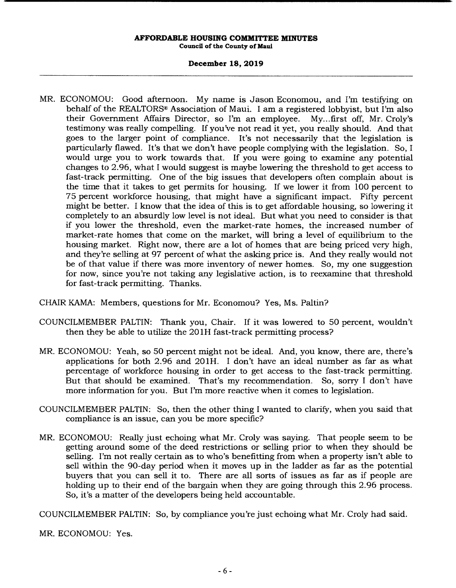# **December 18, 2019**

- MR. ECONOMOU: Good afternoon. My name is Jason Economou, and I'm testifying on behalf of the REALTORS® Association of Maui. I am a registered lobbyist, but I'm also their Government Affairs Director, so I'm an employee. My... first off, Mr. Croly's testimony was really compelling. If you've not read it yet, you really should. And that goes to the larger point of compliance. It's not necessarily that the legislation is particularly flawed. It's that we don't have people complying with the legislation. So, I would urge you to work towards that. If you were going to examine any potential changes to 2.96, what I would suggest is maybe lowering the threshold to get access to fast-track permitting. One of the big issues that developers often complain about is the time that it takes to get permits for housing. If we lower it from 100 percent to 75 percent workforce housing, that might have a significant impact. Fifty percent might be better. I know that the idea of this is to get affordable housing, so lowering it completely to an absurdly low level is not ideal. But what you need to consider is that if you lower the threshold, even the market-rate homes, the increased number of market-rate homes that come on the market, will bring a level of equilibrium to the housing market. Right now, there are a lot of homes that are being priced very high, and they're selling at 97 percent of what the asking price is. And they really would not be of that value if there was more inventory of newer homes. So, my one suggestion for now, since you're not taking any legislative action, is to reexamine that threshold for fast-track permitting. Thanks.
- CHAIR KAMA: Members, questions for Mr. Economou? Yes, Ms. Paltin?
- COUNCILMEMBER PALTIN: Thank you, Chair. If it was lowered to 50 percent, wouldn't then they be able to utilize the 20 1H fast-track permitting process?
- MR. ECONOMOU: Yeah, so 50 percent might not be ideal. And, you know, there are, there's applications for both 2.96 and 201H. I don't have an ideal number as far as what percentage of workforce housing in order to get access to the fast-track permitting. But that should be examined. That's my recommendation. So, sorry I don't have more information for you. But I'm more reactive when it comes to legislation.
- COUNCILMEMBER PALTIN: So, then the other thing I wanted to clarify, when you said that compliance is an issue, can you be more specific?
- MR. ECONOMOU: Really just echoing what Mr. Croly was saying. That people seem to be getting around some of the deed restrictions or selling prior to when they should be selling. I'm not really certain as to who's benefitting from when a property isn't able to sell within the 90-day period when it moves up in the ladder as far as the potential buyers that you can sell it to. There are all sorts of issues as far as if people are holding up to their end of the bargain when they are going through this 2.96 process. So, it's a matter of the developers being held accountable.

COUNCILMEMBER PALTIN: So, by compliance you're just echoing what Mr. Croly had said.

MR. ECONOMOU: Yes.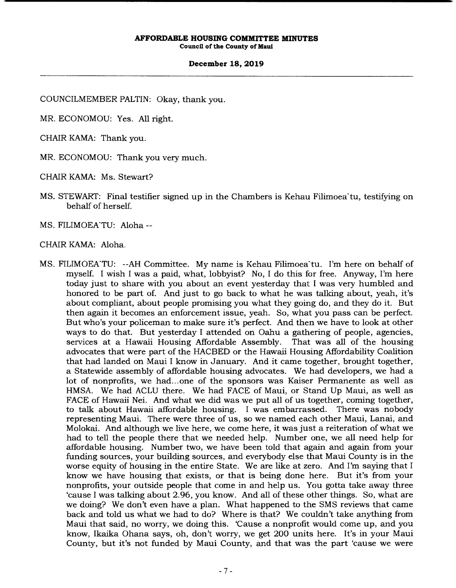# **December 18, 2019**

COUNCILMEMBER PALTIN: Okay, thank you.

MR. ECONOMOU: Yes. All right.

CHAIR KAMA: Thank you.

MR. ECONOMOU: Thank you very much.

CHAIR KAMA: Ms. Stewart?

MS. STEWART: Final testifier signed up in the Chambers is Kehau Filimoea tu, testifying on behalf of herself.

MS. FILIMOEA'TU: Aloha --

CHAIR KAMA: Aloha.

MS. FILIMOEA TU: --AH Committee. My name is Kehau Filimoea tu. I'm here on behalf of myself. I wish I was a paid, what, lobbyist? No, I do this for free. Anyway, I'm here today just to share with you about an event yesterday that I was very humbled and honored to be part of. And just to go back to what he was talking about, yeah, it's about compliant, about people promising you what they going do, and they do it. But then again it becomes an enforcement issue, yeah. So, what you pass can be perfect. But who's your policeman to make sure it's perfect. And then we have to look at other ways to do that. But yesterday I attended on Oahu a gathering of people, agencies, services at a Hawaii Housing Affordable Assembly. That was all of the housing advocates that were part of the HACBED or the Hawaii Housing Affordability Coalition that had landed on Maui I know in January. And it came together, brought together, a Statewide assembly of affordable housing advocates. We had developers, we had a lot of nonprofits, we had... one of the sponsors was Kaiser Permanente as well as HMSA. We had ACLU there. We had FACE of Maui, or Stand Up Maui, as well as FACE of Hawaii Nei. And what we did was we put all of us together, coming together, to talk about Hawaii affordable housing. I was embarrassed. There was nobody representing Maui. There were three of us, so we named each other Maui, Lanai, and Molokai. And although we live here, we come here, it was just a reiteration of what we had to tell the people there that we needed help. Number one, we all need help for affordable housing. Number two, we have been told that again and again from your funding sources, your building sources, and everybody else that Maui County is in the worse equity of housing in the entire State. We are like at zero. And I'm saying that I know we have housing that exists, or that is being done here. But it's from your nonprofits, your outside people that come in and help us. You gotta take away three 'cause I was talking about 2.96, you know. And all of these other things. So, what are we doing? We don't even have a plan. What happened to the SMS reviews that came back and told us what we had to do? Where is that? We couldn't take anything from Maui that said, no worry, we doing this. 'Cause a nonprofit would come up, and you know, Ikaika Ohana says, oh, don't worry, we get 200 units here. It's in your Maui County, but it's not funded by Maui County, and that was the part 'cause we were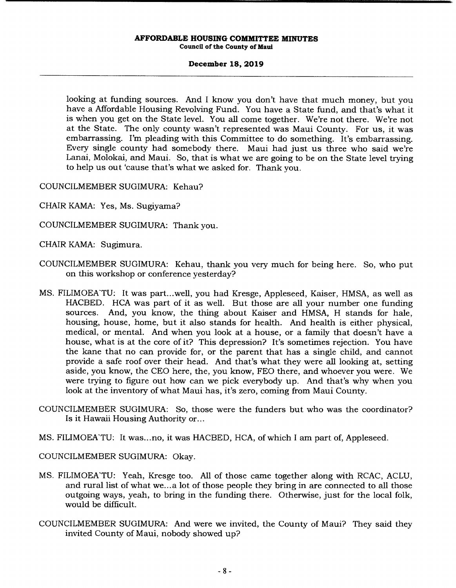# **December 18, 2019**

looking at funding sources. And I know you don't have that much money, but you have a Affordable Housing Revolving Fund. You have a State fund, and that's what it is when you get on the State level. You all come together. We're not there. We're not at the State. The only county wasn't represented was Maui County. For us, it was embarrassing. I'm pleading with this Committee to do something. It's embarrassing. Every single county had somebody there. Maui had just us three who said we're Lanai, Molokai, and Maui. So, that is what we are going to be on the State level trying to help us out 'cause that's what we asked for. Thank you.

COUNCILMEMBER SUGIMURA: Kehau?

- CHAIR KAMA: Yes, Ms. Sugiyama?
- COUNCILMEMBER SUGIMURA: Thank you.
- CHAIR KAMA: Sugimura.
- COUNCILMEMBER SUGIMURA: Kehau, thank you very much for being here. So, who put on this workshop or conference yesterday?
- MS. FILIMOEKTU: It was part.. .well, you had Kresge, Appleseed, Kaiser, HMSA, as well as HACBED. HCA was part of it as well. But those are all your number one funding sources. And, you know, the thing about Kaiser and HMSA, H stands for hale, housing, house, home, but it also stands for health. And health is either physical, medical, or mental. And when you look at a house, or a family that doesn't have a house, what is at the core of it? This depression? It's sometimes rejection. You have the kane that no can provide for, or the parent that has a single child, and cannot provide a safe roof over their head. And that's what they were all looking at, setting aside, you know, the CEO here, the, you know, FEO there, and whoever you were. We were trying to figure out how can we pick everybody up. And that's why when you look at the inventory of what Maui has, it's zero, coming from Maui County.
- COUNCILMEMBER SUGIMURA: So, those were the funders but who was the coordinator? Is it Hawaii Housing Authority or...
- MS. FILIMOEATU: It was...no, it was HACBED, HCA, of which I am part of, Appleseed.

COUNCILMEMBER SUGIMURA: Okay.

- MS. FILIMOEKTU: Yeah, Kresge too. All of those came together along with RCAC, ACLU, and rural list of what we... a lot of those people they bring in are connected to all those outgoing ways, yeah, to bring in the funding there. Otherwise, just for the local folk, would be difficult.
- COUNCILMEMBER SUGIMURA: And were we invited, the County of Maui? They said they invited County of Maui, nobody showed up?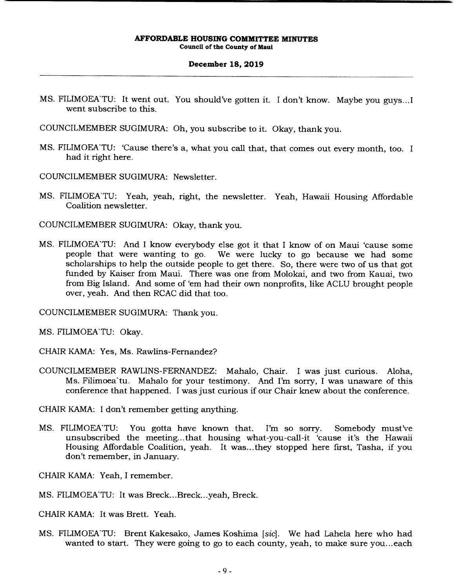### **December 18, 2019**

- MS. FILIMOEATU: It went out. You should've gotten it. I don't know. Maybe you guys...I went subscribe to this.
- COUNCILMEMBER SUGIMURA: Oh, you subscribe to it. Okay, thank you.
- MS. FILIMOEA TU: 'Cause there's a, what you call that, that comes out every month, too. I had it right here.
- COUNCILMEMBER SUGIMURA: Newsletter.
- MS. FILIMOEA TU: Yeah, yeah, right, the newsletter. Yeah, Hawaii Housing Affordable Coalition newsletter.

COUNCILMEMBER SUGIMURA: Okay, thank you.

MS. FILIMOEA TU: And I know everybody else got it that I know of on Maui 'cause some people that were wanting to go. We were lucky to go because we had some scholarships to help the outside people to get there. So, there were two of us that got funded by Kaiser from Maui. There was one from Molokai, and two from Kauai, two from Big Island. And some of 'em had their own nonprofits, like ACLU brought people over, yeah. And then RCAC did that too.

COUNCILMEMBER SUGIMURA: Thank you.

MS. FILIMOEA'TU: Okay.

CHAIR KAMA: Yes, Ms. Rawlins-Fernandez?

COUNCILMEMBER RAWLINS-FERNANDEZ: Mahalo, Chair. I was just curious. Aloha, Ms. Filimoea'tu. Mahalo for your testimony. And I'm sorry, I was unaware of this conference that happened. I was just curious if our Chair knew about the conference.

CHAIR KAMA: I don't remember getting anything.

MS. FILIMOEATU: You gotta have known that. I'm so sorry. Somebody must've unsubscribed the meeting... that housing what-you-call-it 'cause it's the Hawaii Housing Affordable Coalition, yeah. It was... they stopped here first, Tasha, if you don't remember, in January.

CHAIR KAMA: Yeah, I remember.

MS. FILIMOEA'TU: It was Breck...Breck...yeah, Breck.

CHAIR KAMA: It was Brett. Yeah.

MS. FILIMOEKTU: Brent Kakesako, James Koshima *[sic].* We had Lahela here who had wanted to start. They were going to go to each county, yeah, to make sure you...each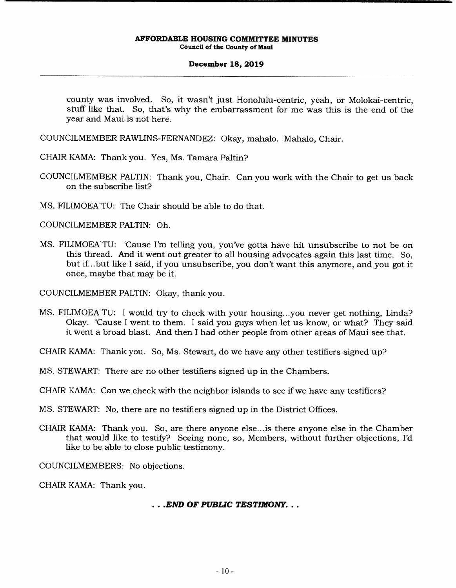# **December 18, 2019**

county was involved. So, it wasn't just Honolulu-centric, yeah, or Molokai-centric, stuff like that. So, that's why the embarrassment for me was this is the end of the year and Maui is not here.

COUNCILMEMBER RAWLINS-FERNANDEZ: Okay, mahalo. Mahalo, Chair.

CHAIR KAMA: Thank you. Yes, Ms. Tamara Paltin?

- COUNCILMEMBER PALTIN: Thank you, Chair. Can you work with the Chair to get us back on the subscribe list?
- MS. FILIMOEA TU: The Chair should be able to do that.

COUNCILMEMBER PALTIN: Oh.

MS. FILIMOEA TU: 'Cause I'm telling you, you've gotta have hit unsubscribe to not be on this thread. And it went out greater to all housing advocates again this last time. So, but if... but like I said, if you unsubscribe, you don't want this anymore, and you got it once, maybe that may be it.

COUNCILMEMBER PALTIN: Okay, thank you.

MS. FILIMOEATU: I would try to check with your housing...you never get nothing, Linda? Okay. 'Cause I went to them. I said you guys when let us know, or what? They said it went a broad blast. And then I had other people from other areas of Maui see that.

CHAIR KAMA: Thank you. So, Ms. Stewart, do we have any other testifiers signed up?

MS. STEWART: There are no other testifiers signed up in the Chambers.

CHAIR KAMA: Can we check with the neighbor islands to see if we have any testifiers?

MS. STEWART: No, there are no testifiers signed up in the District Offices.

CHAIR KAMA: Thank you. So, are there anyone else... is there anyone else in the Chamber that would like to testify? Seeing none, so, Members, without further objections, I'd like to be able to close public testimony.

COUNCILMEMBERS: No objections.

CHAIR KAMA: Thank you.

*• .END OF PUBLIC TESTIMONY.*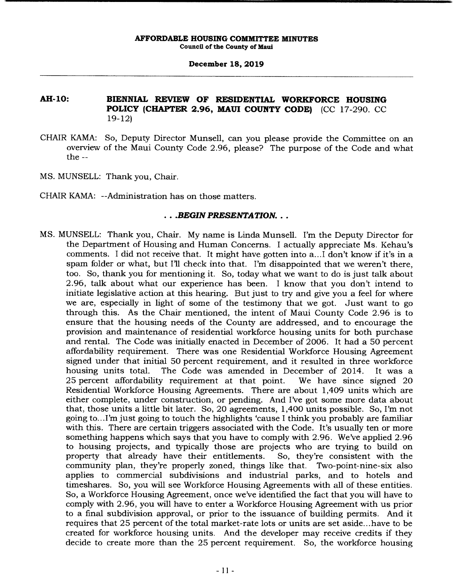## **December 18, 2019**

# **AH-10: BIENNIAL REVIEW OF RESIDENTIAL WORKFORCE HOUSING POLICY (CHAPTER 2.96, MAUI COUNTY CODE)** (CC 17-290. CC 19-12)

- CHAIR KAMA: So, Deputy Director Munsell, can you please provide the Committee on an overview of the Maui County Code 2.96, please? The purpose of the Code and what the --
- MS. MUNSELL: Thank you, Chair.
- CHAIR KAMA: --Administration has on those matters.

### *• .BEGIN PRESENTATION...*

MS. MUNSELL: Thank you, Chair. My name is Linda Munsell. I'm the Deputy Director for the Department of Housing and Human Concerns. I actually appreciate Ms. Kehau's comments. I did not receive that. It might have gotten into a... I don't know if it's in a spam folder or what, but I'll check into that. I'm disappointed that we weren't there, too. So, thank you for mentioning it. So, today what we want to do is just talk about 2.96, talk about what our experience has been. I know that you don't intend to initiate legislative action at this hearing. But just to try and give you a feel for where we are, especially in light of some of the testimony that we got. Just want to go through this. As the Chair mentioned, the intent of Maui County Code 2.96 is to ensure that the housing needs of the County are addressed, and to encourage the provision and maintenance of residential workforce housing units for both purchase and rental. The Code was initially enacted in December of 2006. It had a 50 percent affordability requirement. There was one Residential Workforce Housing Agreement signed under that initial 50 percent requirement, and it resulted in three workforce housing units total. The Code was amended in December of 2014. It was a 25 percent affordability requirement at that point. We have since signed 20 25 percent affordability requirement at that point. Residential Workforce Housing Agreements. There are about 1,409 units which are either complete, under construction, or pending. And I've got some more data about that, those units a little bit later. So, 20 agreements, 1,400 units possible. So, I'm not going to.. .I'm just going to touch the highlights 'cause I think you probably are familiar with this. There are certain triggers associated with the Code. It's usually ten or more something happens which says that you have to comply with 2.96. We've applied 2.96 to housing projects, and typically those are projects who are trying to build on property that already have their entitlements. So, they're consistent with the community plan, they're properly zoned, things like that. Two-point-nine-six also applies to commercial subdivisions and industrial parks, and to hotels and timeshares. So, you will see Workforce Housing Agreements with all of these entities. So, a Workforce Housing Agreement, once we've identified the fact that you will have to comply with 2.96, you will have to enter a Workforce Housing Agreement with us prior to a final subdivision approval, or prior to the issuance of building permits. And it requires that 25 percent of the total market-rate lots or units are set aside.. .have to be created for workforce housing units. And the developer may receive credits if they decide to create more than the 25 percent requirement. So, the workforce housing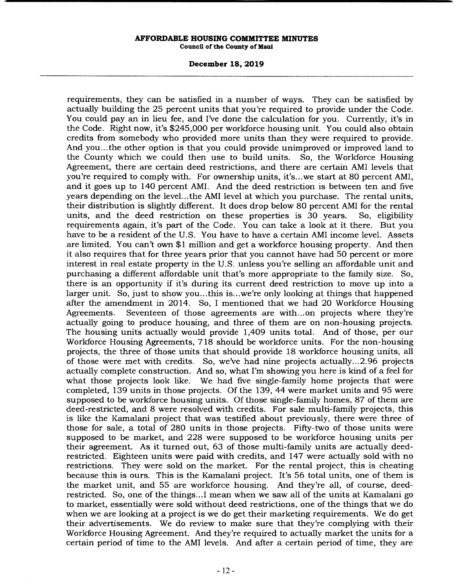#### **December 18, 2019**

requirements, they can be satisfied in a number of ways. They can be satisfied by actually building the 25 percent units that you're required to provide under the Code. You could pay an in lieu fee, and I've done the calculation for you. Currently, it's in the Code. Right now, it's \$245,000 per workforce housing unit. You could also obtain credits from somebody who provided more units than they were required to provide. And you... the other option is that you could provide unimproved or improved land to the County which we could then use to build units. So, the Workforce Housing Agreement, there are certain deed restrictions, and there are certain AMI levels that you're required to comply with. For ownership units, it's.. .we start at 80 percent AMI, and it goes up to 140 percent AMI. And the deed restriction is between ten and five years depending on the level.., the AMI level at which you purchase. The rental units, their distribution is slightly different. It does drop below 80 percent AMI for the rental units, and the deed restriction on these properties is 30 years. So, eligibility requirements again, it's part of the Code. You can take a look at it there. But you have to be a resident of the U.S. You have to have a certain AMI income level. Assets are limited. You can't own \$1 million and get a workforce housing property. And then it also requires that for three years prior that you cannot have had 50 percent or more interest in real estate property in the U.S. unless you're selling an affordable unit and purchasing a different affordable unit that's more appropriate to the family size. So, there is an opportunity if it's during its current deed restriction to move up into a larger unit. So, just to show you...this is...we're only looking at things that happened after the amendment in 2014. So, I mentioned that we had 20 Workforce Housing Agreements. Seventeen of those agreements are with... on projects where they're actually going to produce housing, and three of them are on non-housing projects. The housing units actually would provide 1,409 units total. And of those, per our Workforce Housing Agreements, 718 should be workforce units. For the non-housing projects, the three of those units that should provide 18 workforce housing units, all of those were met with credits. So, we've had nine projects actually.. .2.96 projects actually complete construction. And so, what I'm showing you here is kind of a feel for what those projects look like. We had five single-family home projects that were completed, 139 units in those projects. Of the 139, 44 were market units and 95 were supposed to be workforce housing units. Of those single-family homes, 87 of them are deed-restricted, and 8 were resolved with credits. For sale multi-family projects, this is like the Kamalani project that was testified about previously, there were three of those for sale, a total of 280 units in those projects. Fifty-two of those units were supposed to be market, and 228 were supposed to be workforce housing units per their agreement. As it turned out, 63 of those multi-family units are actually deedrestricted. Eighteen units were paid with credits, and 147 were actually sold with no restrictions. They were sold on the market. For the rental project, this is cheating because this is ours. This is the Kamalani project. It's 56 total units, one of them is the market unit, and 55 are workforce housing. And they're all, of course, deedrestricted. So, one of the things... I mean when we saw all of the units at Kamalani go to market, essentially were sold without deed restrictions, one of the things that we do when we are looking at a project is we do get their marketing requirements. We do get their advertisements. We do review to make sure that they're complying with their Workforce Housing Agreement. And they're required to actually market the units for a certain period of time to the AMI levels. And after a certain period of time, they are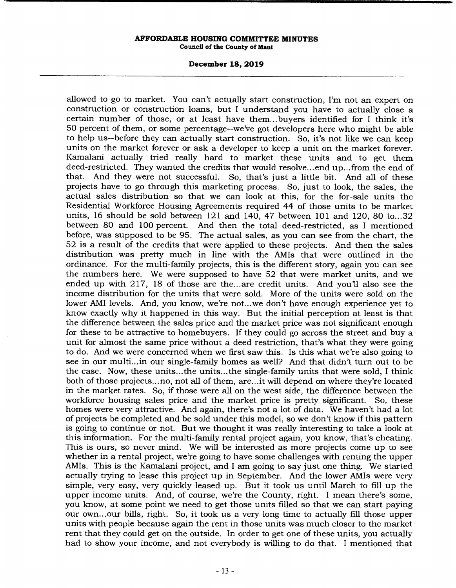### **December 18, 2019**

allowed to go to market. You can't actually start construction, I'm not an expert on construction or construction loans, but I understand you have to actually close a certain number of those, or at least have them... buyers identified for I think it's 50 percent of them, or some percentage--we've got developers here who might be able to help us--before they can actually start construction. So, it's not like we can keep units on the market forever or ask a developer to keep a unit on the market forever. Kamalani actually tried really hard to market these units and to get them deed-restricted. They wanted the credits that would resolve.., end up.. .from the end of that. And they were not successful. So, that's just a little bit. And all of these projects have to go through this marketing process. So, just to look, the sales, the actual sales distribution so that we can look at this, for the for-sale units the Residential Workforce Housing Agreements required 44 of those units to be market units, 16 should be sold between 121 and 140, 47 between 101 and 120, 80 to... 32 between 80 and 100 percent. And then the total deed-restricted, as I mentioned before, was supposed to be 95. The actual sales, as you can see from the chart, the 52 is a result of the credits that were applied to these projects. And then the sales distribution was pretty much in line with the AMIs that were outlined in the ordinance. For the multi-family projects, this is the different story, again you can see the numbers here. We were supposed to have 52 that were market units, and we ended up with 217, 18 of those are the...are credit units. And you'll also see the income distribution for the units that were sold. More of the units were sold on the lower AMI levels. And, you know, we're not...we don't have enough experience yet to know exactly why it happened in this way. But the initial perception at least is that the difference between the sales price and the market price was not significant enough for these to be attractive to homebuyers. If they could go across the street and buy a unit for almost the same price without a deed restriction, that's what they were going to do. And we were concerned when we first saw this. Is this what we're also going to see in our multi... in our single-family homes as well? And that didn't turn out to be the case. Now, these units.. .the units.. .the single-family units that were sold, I think both of those projects... no, not all of them, are... it will depend on where they're located in the market rates. So, if those were all on the west side, the difference between the workforce housing sales price and the market price is pretty significant. So, these homes were very attractive. And again, there's not a lot of data. We haven't had a lot of projects be completed and be sold under this model, so we don't know if this pattern is going to continue or not. But we thought it was really interesting to take a look at this information. For the multi-family rental project again, you know, that's cheating. This is ours, so never mind. We will be interested as more projects come up to see whether in a rental project, we're going to have some challenges with renting the upper AMIs. This is the Kamalani project, and I am going to say just one thing. We started actually trying to lease this project up in September. And the lower AMIs were very simple, very easy, very quickly leased up. But it took us until March to fill up the upper income units. And, of course, we're the County, right. I mean there's some, you know, at some point we need to get those units filled so that we can start paying our own... our bills, right. So, it took us a very long time to actually fill those upper units with people because again the rent in those units was much closer to the market rent that they could get on the outside. In order to get one of these units, you actually had to show your income, and not everybody is willing to do that. I mentioned that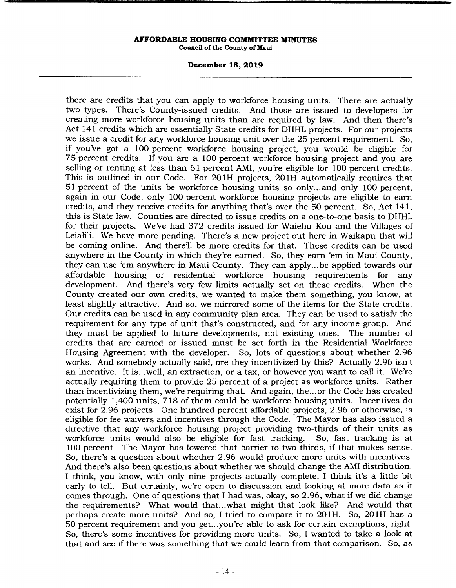#### **December 18, 2019**

there are credits that you can apply to workforce housing units. There are actually two types. There's County-issued credits. And those are issued to developers for creating more workforce housing units than are required by law. And then there's Act 141 credits which are essentially State credits for DHHL projects. For our projects we issue a credit for any workforce housing unit over the 25 percent requirement. So, if you've got a 100 percent workforce housing project, you would be eligible for 75 percent credits. If you are a 100 percent workforce housing project and you are selling or renting at less than 61 percent AMI, you're eligible for 100 percent credits. This is outlined in our Code. For 201H projects, 201H automatically requires that 51 percent of the units be workforce housing units so only.., and only 100 percent, again in our Code, only 100 percent workforce housing projects are eligible to earn credits, and they receive credits for anything that's over the 50 percent. So, Act 141, this is State law. Counties are directed to issue credits on a one-to-one basis to DHHL for their projects. We've had 372 credits issued for Waiehu Kou and the Villages of Leiali'i. We have more pending. There's a new project out here in Waikapu that will be coming online. And there'll be more credits for that. These credits can be used anywhere in the County in which they're earned. So, they earn 'em in Maui County, they can use 'em anywhere in Maui County. They can apply... be applied towards our affordable housing or residential workforce housing requirements for any development. And there's very few limits actually set on these credits. When the County created our own credits, we wanted to make them something, you know, at least slightly attractive. And so, we mirrored some of the items for the State credits. Our credits can be used in any community plan area. They can be used to satisfy the requirement for any type of unit that's constructed, and for any income group. And they must be applied to future developments, not existing ones. The number of credits that are earned or issued must be set forth in the Residential Workforce Housing Agreement with the developer. So, lots of questions about whether 2.96 works. And somebody actually said, are they incentivized by this? Actually 2.96 isn't an incentive. It is.. .well, an extraction, or a tax, or however you want to call it. We're actually requiring them to provide 25 percent of a project as workforce units. Rather than incentivizing them, we're requiring that. And again, the... or the Code has created potentially 1,400 units, 718 of them could be workforce housing units. Incentives do exist for 2.96 projects. One hundred percent affordable projects, 2.96 or otherwise, is eligible for fee waivers and incentives through the Code. The Mayor has also issued a directive that any workforce housing project providing two-thirds of their units as workforce units would also be eligible for fast tracking. So, fast tracking is at workforce units would also be eligible for fast tracking. 100 percent. The Mayor has lowered that barrier to two-thirds, if that makes sense. So, there's a question about whether 2.96 would produce more units with incentives. And there's also been questions about whether we should change the AMI distribution. I think, you know, with only nine projects actually complete, I think it's a little bit early to tell. But certainly, we're open to discussion and looking at more data as it comes through. One of questions that I had was, okay, so 2.96, what if we did change the requirements? What would that.. .what might that look like? And would that perhaps create more units? And so, I tried to compare it to 201H. So, 201H has a 50 percent requirement and you get.. .you're able to ask for certain exemptions, right. So, there's some incentives for providing more units. So, I wanted to take a look at that and see if there was something that we could learn from that comparison. So, as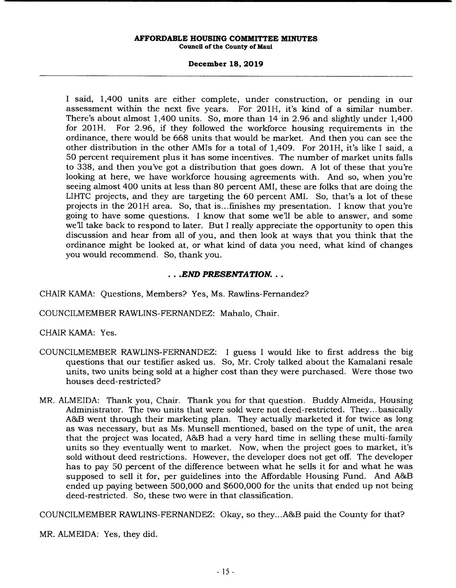# **December 18, 2019**

I said, 1,400 units are either complete, under construction, or pending in our assessment within the next five years. For 201H, it's kind of a similar number. There's about almost 1,400 units. So, more than 14 in 2.96 and slightly under 1,400 for 201H. For 2.96, if they followed the workforce housing requirements in the ordinance, there would be 668 units that would be market. And then you can see the other distribution in the other AMIs for a total of 1,409. For 201H, it's like I said, a 50 percent requirement plus it has some incentives. The number of market units falls to 338, and then you've got a distribution that goes down. A lot of these that you're looking at here, we have workforce housing agreements with. And so, when you're seeing almost 400 units at less than 80 percent AMI, these are folks that are doing the LIHTC projects, and they are targeting the 60 percent AMI. So, that's a lot of these projects in the 201H area. So, that is ... finishes my presentation. I know that you're going to have some questions. I know that some well be able to answer, and some we'll take back to respond to later. But I really appreciate the opportunity to open this discussion and hear from all of you, and then look at ways that you think that the ordinance might be looked at, or what kind of data you need, what kind of changes you would recommend. So, thank you.

# *• .END PRESENTATION...*

CHAIR KAMA: Questions, Members? Yes, Ms. Rawlins-Fernandez?

COUNCILMEMBER RAWLINS-FERNANDEZ: Mahalo, Chair.

CHAIR KAMA: Yes.

- COUNCILMEMBER RAWLINS-FERNANDEZ: I guess I would like to first address the big questions that our testifier asked us. So, Mr. Croly talked about the Kamalani resale units, two units being sold at a higher cost than they were purchased. Were those two houses deed-restricted?
- MR. ALMEIDA: Thank you, Chair. Thank you for that question. Buddy Almeida, Housing Administrator. The two units that were sold were not deed-restricted. They... basically A&B went through their marketing plan. They actually marketed it for twice as long as was necessary, but as Ms. Munsell mentioned, based on the type of unit, the area that the project was located, A&B had a very hard time in selling these multi-family units so they eventually went to market. Now, when the project goes to market, it's sold without deed restrictions. However, the developer does not get off. The developer has to pay 50 percent of the difference between what he sells it for and what he was supposed to sell it for, per guidelines into the Affordable Housing Fund. And A&B ended up paying between 500,000 and \$600,000 for the units that ended up not being deed-restricted. So, these two were in that classification.

COUNCILMEMBER RAWLINS-FERNANDEZ: Okay, so they.. .A&B paid the County for that?

MR. ALMEIDA: Yes, they did.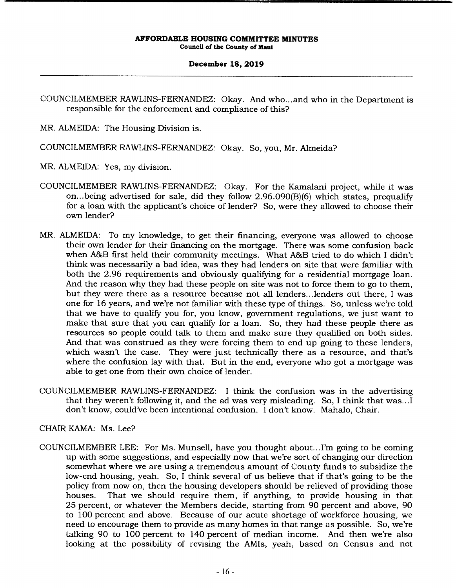# **December 18, 2019**

COUNCILMEMBER RAWLINS-FERNANDEZ: Okay. And who... and who in the Department is responsible for the enforcement and compliance of this?

MR. ALMEIDA: The Housing Division is.

COUNCILMEMBER RAWLINS-FERNANDEZ: Okay. So, you, Mr. Almeida?

MR. ALMEIDA: Yes, my division.

- COUNCILMEMBER RAWLINS-FERNANDEZ: Okay. For the Kamalani project, while it was on.. .being advertised for sale, did they follow 2.96.090(B)(6) which states, prequalify for a loan with the applicant's choice of lender? So, were they allowed to choose their own lender?
- MR. ALMEIDA: To my knowledge, to get their financing, everyone was allowed to choose their own lender for their financing on the mortgage. There was some confusion back when A&B first held their community meetings. What A&B tried to do which I didn't think was necessarily a bad idea, was they had lenders on site that were familiar with both the 2.96 requirements and obviously qualifying for a residential mortgage loan. And the reason why they had these people on site was not to force them to go to them, but they were there as a resource because not all lenders... lenders out there, I was one for 16 years, and we're not familiar with these type of things. So, unless we're told that we have to qualify you for, you know, government regulations, we just want to make that sure that you can qualify for a loan. So, they had these people there as resources so people could talk to them and make sure they qualified on both sides. And that was construed as they were forcing them to end up going to these lenders, which wasn't the case. They were just technically there as a resource, and that's where the confusion lay with that. But in the end, everyone who got a mortgage was able to get one from their own choice of lender.
- COUNCILMEMBER RAWLINS-FERNANDEZ: I think the confusion was in the advertising that they weren't following it, and the ad was very misleading. So, I think that was.. .1 don't know, could've been intentional confusion. I don't know. Mahalo, Chair.

CHAIR KAMA: Ms. Lee?

COUNCILMEMBER LEE: For Ms. Munsell, have you thought about... I'm going to be coming up with some suggestions, and especially now that we're sort of changing our direction somewhat where we are using a tremendous amount of County funds to subsidize the low-end housing, yeah. So, I think several of us believe that if that's going to be the policy from now on, then the housing developers should be relieved of providing those houses. That we should require them, if anything, to provide housing in that 25 percent, or whatever the Members decide, starting from 90 percent and above, 90 to 100 percent and above. Because of our acute shortage of workforce housing, we need to encourage them to provide as many homes in that range as possible. So, we're talking 90 to 100 percent to 140 percent of median income. And then we're also looking at the possibility of revising the AMIs, yeah, based on Census and not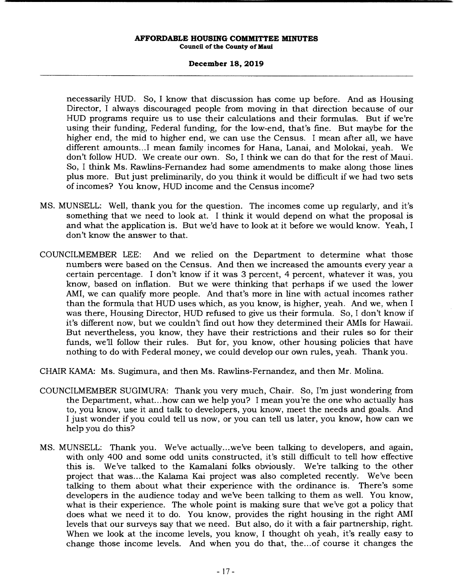# **December 18, 2019**

necessarily HUD. So, I know that discussion has come up before. And as Housing Director, I always discouraged people from moving in that direction because of our HUD programs require us to use their calculations and their formulas. But if we're using their funding, Federal funding, for the low-end, that's fine. But maybe for the higher end, the mid to higher end, we can use the Census. I mean after all, we have different amounts...I mean family incomes for Hana, Lanai, and Molokai, yeah. We don't follow HUD. We create our own. So, I think we can do that for the rest of Maui. So, I think Ms. Rawlins-Fernandez had some amendments to make along those lines plus more. But just preliminarily, do you think it would be difficult if we had two sets of incomes? You know, HUD income and the Census income?

- MS. MUNSELL: Well, thank you for the question. The incomes come up regularly, and it's something that we need to look at. I think it would depend on what the proposal is and what the application is. But we'd have to look at it before we would know. Yeah, I don't know the answer to that.
- COUNCILMEMBER LEE: And we relied on the Department to determine what those numbers were based on the Census. And then we increased the amounts every year a certain percentage. I don't know if it was 3 percent, 4 percent, whatever it was, you know, based on inflation. But we were thinking that perhaps if we used the lower AMI, we can qualify more people. And that's more in line with actual incomes rather than the formula that HUD uses which, as you know, is higher, yeah. And we, when I was there, Housing Director, HUD refused to give us their formula. So, I don't know if it's different now, but we couldn't find out how they determined their AMIs for Hawaii. But nevertheless, you know, they have their restrictions and their rules so for their funds, we'll follow their rules. But for, you know, other housing policies that have nothing to do with Federal money, we could develop our own rules, yeah. Thank you.
- CHAIR KAMA: Ms. Sugimura, and then Ms. Rawlins-Fernandez, and then Mr. Molina.
- COUNCILMEMBER SUGIMURA: Thank you very much, Chair. So, I'm just wondering from the Department, what... how can we help you? I mean you're the one who actually has to, you know, use it and talk to developers, you know, meet the needs and goals. And I just wonder if you could tell us now, or you can tell us later, you know, how can we help you do this?
- MS. MUNSELL: Thank you. We've actually.. .we've been talking to developers, and again, with only 400 and some odd units constructed, it's still difficult to tell how effective this is. We've talked to the Kamalani folks obviously. We're talking to the other project that was... the Kalama Kai project was also completed recently. We've been talking to them about what their experience with the ordinance is. There's some developers in the audience today and we've been talking to them as well. You know, what is their experience. The whole point is making sure that we've got a policy that does what we need it to do. You know, provides the right housing in the right AMI levels that our surveys say that we need. But also, do it with a fair partnership, right. When we look at the income levels, you know, I thought oh yeah, it's really easy to change those income levels. And when you do that, the... of course it changes the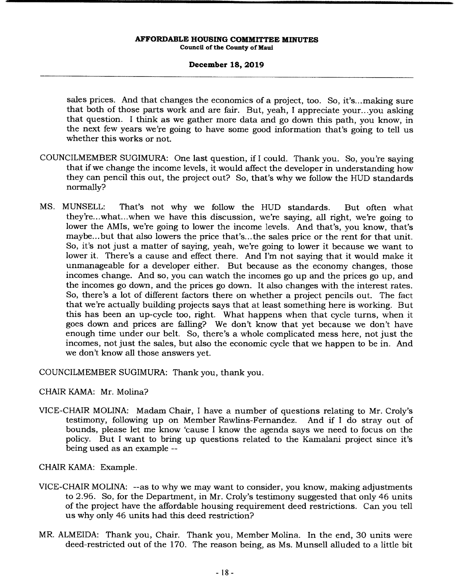# **December 18, 2019**

sales prices. And that changes the economics of a project, too. So, it's... making sure that both of those parts work and are fair. But, yeah, I appreciate your.. .you asking that question. I think as we gather more data and go down this path, you know, in the next few years we're going to have some good information that's going to tell us whether this works or not.

- COUNCILMEMBER SUGIMURA: One last question, if I could. Thank you. So, you're saying that if we change the income levels, it would affect the developer in understanding how they can pencil this out, the project out? So, that's why we follow the HUD standards normally?
- MS. MUNSELL: That's not why we follow the HUD standards. But often what they're ... what.. .when we have this discussion, we're saying, all right, we're going to lower the AMIs, we're going to lower the income levels. And that's, you know, that's maybe... but that also lowers the price that's... the sales price or the rent for that unit. So, it's not just a matter of saying, yeah, we're going to lower it because we want to lower it. There's a cause and effect there. And I'm not saying that it would make it unmanageable for a developer either. But because as the economy changes, those incomes change. And so, you can watch the incomes go up and the prices go up, and the incomes go down, and the prices go down. It also changes with the interest rates. So, there's a lot of different factors there on whether a project pencils out. The fact that we're actually building projects says that at least something here is working. But this has been an up-cycle too, right. What happens when that cycle turns, when it goes down and prices are falling? We don't know that yet because we don't have enough time under our belt. So, there's a whole complicated mess here, not just the incomes, not just the sales, but also the economic cycle that we happen to be in. And we don't know all those answers yet.

COUNCILMEMBER SUGIMURA: Thank you, thank you.

# CHAIR KAMA: Mr. Molina?

VICE-CHAIR MOLINA: Madam Chair, I have a number of questions relating to Mr. Croly's testimony, following up on Member Rawlins-Fernandez. And if I do stray out of bounds, please let me know 'cause I know the agenda says we need to focus on the policy. But I want to bring up questions related to the Kamalani project since it's being used as an example --

CHAIR KAMA: Example.

- VICE-CHAIR MOLINA: --as to why we may want to consider, you know, making adjustments to 2.96. So, for the Department, in Mr. Croly's testimony suggested that only 46 units of the project have the affordable housing requirement deed restrictions. Can you tell us why only 46 units had this deed restriction?
- MR. ALMEIDA: Thank you, Chair. Thank you, Member Molina. In the end, 30 units were deed-restricted out of the 170. The reason being, as Ms. Munsell alluded to a little bit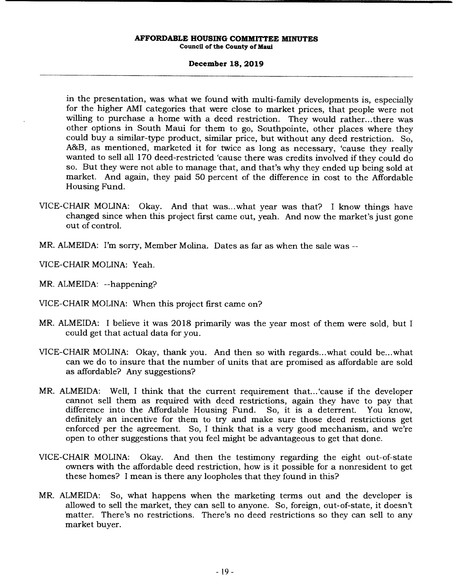### **December 18, 2019**

in the presentation, was what we found with multi-family developments is, especially for the higher AMI categories that were close to market prices, that people were not willing to purchase a home with a deed restriction. They would rather... there was other options in South Maui for them to go, Southpointe, other places where they could buy a similar-type product, similar price, but without any deed restriction. So, A&B, as mentioned, marketed it for twice as long as necessary, 'cause they really wanted to sell all 170 deed-restricted 'cause there was credits involved if they could do so. But they were not able to manage that, and that's why they ended up being sold at market. And again, they paid 50 percent of the difference in cost to the Affordable Housing Fund.

- VICE-CHAIR MOLINA: Okay. And that was.. .what year was that? I know things have changed since when this project first came out, yeah. And now the market's just gone out of control.
- MR. ALMEIDA: I'm sorry, Member Molina. Dates as far as when the sale was --

VICE-CHAIR MOLINA: *Yeah.* 

MR. ALMEIDA: --happening?

- VICE-CHAIR MOLINA: When this project first came on?
- MR. ALMEIDA: I believe it was 2018 primarily was the year most of them were sold, but I could get that actual data for you.
- VICE-CHAIR MOLINA: Okay, thank you. And then so with regards.. .what could be.. .what can we do to insure that the number of units that are promised as affordable are sold as affordable? Any suggestions?
- MR. ALMEIDA: Well, I think that the current requirement that... 'cause if the developer cannot sell them as required with deed restrictions, again they have to pay that difference into the Affordable Housing Fund. So, it is a deterrent. You know, definitely an incentive for them to try and make sure those deed restrictions get enforced per the agreement. So, I think that is a very good mechanism, and we're open to other suggestions that you feel might be advantageous to get that done.
- VICE-CHAIR MOLINA: Okay. And then the testimony regarding the eight out-of-state owners with the affordable deed restriction, how is it possible for a nonresident to get these homes? I mean is there any loopholes that they found in this?
- MR. ALMEIDA: So, what happens when the marketing terms out and the developer is allowed to sell the market, they can sell to anyone. So, foreign, out-of-state, it doesn't matter. There's no restrictions. There's no deed restrictions so they can sell to any market buyer.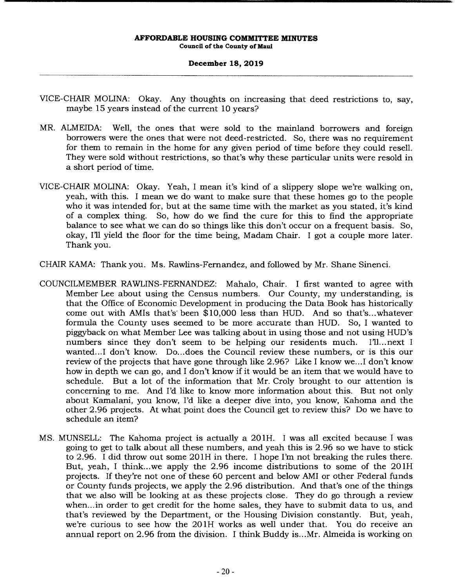## **December 18, 2019**

- VICE-CHAIR MOLINA: Okay. Any thoughts on increasing that deed restrictions to, say, maybe 15 years instead of the current 10 years?
- MR. ALMEIDA: Well, the ones that were sold to the mainland borrowers and foreign borrowers were the ones that were not deed-restricted. So, there was no requirement for them to remain in the home for any given period of time before they could resell. They were sold without restrictions, so that's why these particular units were resold in a short period of time.
- VICE-CHAIR MOLINA: Okay. Yeah, I mean it's kind of a slippery slope we're walking on, yeah, with this. I mean we do want to make sure that these homes go to the people who it was intended for, but at the same time with the market as you stated, it's kind of a complex thing. So, how do we find the cure for this to find the appropriate balance to see what we can do so things like this don't occur on a frequent basis. So, okay, Ill yield the floor for the time being, Madam Chair. I got a couple more later. Thank you.
- CHAIR KAMA: Thank you. Ms. Rawlins-Fernandez, and followed by Mr. Shane Sinenci.
- COUNCILMEMBER RAWLINS-FERNANDEZ: Mahalo, Chair. I first wanted to agree with Member Lee about using the Census numbers. Our County, my understanding, is that the Office of Economic Development in producing the Data Book has historically come out with AMIs that's' been \$10,000 less than HUD. And so that's.. .whatever formula the County uses seemed to be more accurate than HUD. So, I wanted to piggyback on what Member Lee was talking about in using those and not using HUD's numbers since they don't seem to be helping our residents much. I'll...next I wanted...I don't know. Do...does the Council review these numbers, or is this our review of the projects that have gone through like 2.96? Like I know we.. .1 don't know how in depth we can go, and I don't know if it would be an item that we would have to schedule. But a lot of the information that Mr. Croly brought to our attention is concerning to me. And I'd like to know more information about this. But not only about Kamalani, you know, I'd like a deeper dive into, you know, Kahoma and the other 2.96 projects. At what point does the Council get to review this? Do we have to schedule an item?
- MS. MUNSELL: The Kahoma project is actually a 201H. I was all excited because I was going to get to talk about all these numbers, and yeah this is 2.96 so we have to stick to 2.96. I did throw out some 201H in there. I hope I'm not breaking the rules there. But, yeah, I think...we apply the 2.96 income distributions to some of the 201H projects. If they're not one of these 60 percent and below AMI or other Federal funds or County funds projects, we apply the 2.96 distribution. And that's one of the things that we also will be looking at as these projects close. They do go through a review when.. .in order to get credit for the home sales, they have to submit data to us, and that's reviewed by the Department, or the Housing Division constantly. But, yeah, we're curious to see how the 201H works as well under that. You do receive an annual report on 2.96 from the division. I think Buddy is.. .Mr. Almeida is working on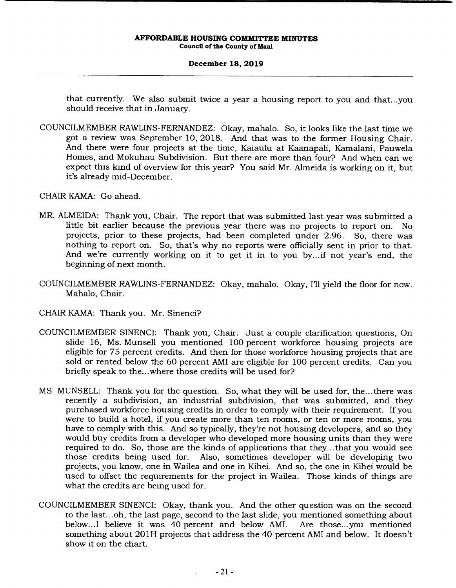# **December 18, 2019**

that currently. We also submit twice a year a housing report to you and that.. .you should receive that in January.

COUNCILMEMBER RAWLINS-FERNANDEZ: Okay, mahalo. So, it looks like the last time we got a review was September 10, 2018. And that was to the former Housing Chair. And there were four projects at the time, Kaiaulu at Kaanapali, Kamalani, Pauwela Homes, and Mokuhau Subdivision. But there are more than four? And when can we expect this kind of overview for this year? You said Mr. Almeida is working on it, but it's already mid-December.

CHAIR KAMA: Go ahead.

- MR. ALMEIDA: Thank you, Chair. The report that was submitted last year was submitted a little bit earlier because the previous year there was no projects to report on. No projects, prior to these projects, had been completed under 2.96. So, there was nothing to report on. So, that's why no reports were officially sent in prior to that. And we're currently working on it to get it in to you by... if not year's end, the beginning of next month.
- COUNCILMEMBER RAWLINS-FERNANDEZ: Okay, mahalo. Okay, I'll yield the floor for now. Mahalo, Chair.
- CHAIR KAMA: Thank you. Mr. Sinenci?
- COUNCILMEMBER SINENCI: Thank you, Chair. Just a couple clarification questions, On slide 16, Ms. Munsell you mentioned 100 percent workforce housing projects are eligible for 75 percent credits. And then for those workforce housing projects that are sold or rented below the 60 percent AMI are eligible for 100 percent credits. Can you briefly speak to the...where those credits will be used for?
- MS. MUNSELL: Thank you for the question. So, what they will be used for, the... there was recently a subdivision, an industrial subdivision, that was submitted, and they purchased workforce housing credits in order to comply with their requirement. If you were to build a hotel, if you create more than ten rooms, or ten or more rooms, you have to comply with this. And so typically, they're not housing developers, and so they would buy credits from a developer who developed more housing units than they were required to do. So, those are the kinds of applications that they... that you would see those credits being used for. Also, sometimes developer will be developing two Also, sometimes developer will be developing two. projects, you know, one in Wailea and one in Kihei. And so, the one in Kihei would be used to offset the requirements for the project in Wailea. Those kinds of things are what the credits are being used for.
- COUNCILMEMBER SINENCI: Okay, thank you. And the other question was on the second to the last... oh, the last page, second to the last slide, you mentioned something about below... I believe it was 40 percent and below AMI. Are those.. .you mentioned something about 201H projects that address the 40 percent AMI and below. It doesn't show it on the chart.

 $\mathbf{r}$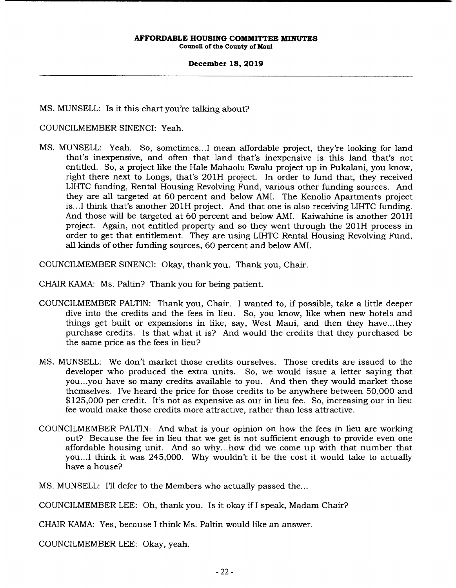# **December 18, 2019**

MS. MUNSELL: Is it this chart you're talking about?

# COUNCILMEMBER SINENCI: Yeah.

MS. MUNSELL: Yeah. So, sometimes...I mean affordable project, they're looking for land that's inexpensive, and often that land that's inexpensive is this land that's not entitled. So, a project like the Hale Mahaolu Ewalu project up in Pukalani, you know, right there next to Longs, that's 201H project. In order to fund that, they received LIHTC funding, Rental Housing Revolving Fund, various other funding sources. And they are all targeted at 60 percent and below AMI. The Kenolio Apartments project is. ..I think that's another 201H project. And that one is also receiving LIHTC funding. And those will be targeted at 60 percent and below AMI. Kaiwahine is another 201H project. Again, not entitled property and so they went through the 201H process in order to get that entitlement. They are using LIHTC Rental Housing Revolving Fund, all kinds of other funding sources, 60 percent and below AMI.

COUNCILMEMBER SINENCI: Okay, thank you. Thank you, Chair.

CHAIR KAMA: Ms. Paltin? Thank you for being patient.

- COUNCILMEMBER PALTIN: Thank you, Chair. I wanted to, if possible, take a little deeper dive into the credits and the fees in lieu. So, you know, like when new hotels and things get built or expansions in like, say, West Maui, and then they have.., they purchase credits. Is that what it is? And would the credits that they purchased be the same price as the fees in lieu?
- MS. MUNSELL: We don't market those credits ourselves. Those credits are issued to the developer who produced the extra units. So, we would issue a letter saying that you.. .you have so many credits available to you. And then they would market those themselves. I've heard the price for those credits to be anywhere between 50,000 and \$125,000 per credit. It's not as expensive as our in lieu fee. So, increasing our in lieu fee would make those credits more attractive, rather than less attractive.
- COUNCILMEMBER PALTIN: And what is your opinion on how the fees in lieu are working out? Because the fee in lieu that we get is not sufficient enough to provide even one affordable housing unit. And so why... how did we come up with that number that you... I think it was 245,000. Why wouldn't it be the cost it would take to actually have a house?

MS. MUNSELL: I'll defer to the Members who actually passed the...

COUNCILMEMBER LEE: Oh, thank you. Is it okay if I speak, Madam Chair?

CHAIR KAMA: Yes, because I think Ms. Paltin would like an answer.

COUNCILMEMBER LEE: Okay, yeah.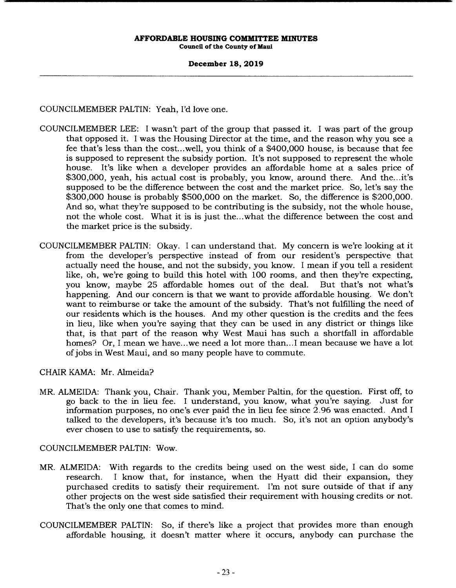# **December 18, 2019**

COUNCILMEMBER PALTIN: Yeah, I'd love one.

- COUNCILMEMBER LEE: I wasn't part of the group that passed it. I was part of the group that opposed it. I was the Housing Director at the time, and the reason why you see a fee that's less than the cost.. .well, you think of a \$400,000 house, is because that fee is supposed to represent the subsidy portion. It's not supposed to represent the whole house. It's like when a developer provides an affordable home at a sales price of \$300,000, yeah, his actual cost is probably, you know, around there. And the...it's supposed to be the difference between the cost and the market price. So, let's say the \$300,000 house is probably \$500,000 on the market. So, the difference is \$200,000. And so, what they're supposed to be contributing is the subsidy, not the whole house, not the whole cost. What it is is just the.. .what the difference between the cost and the market price is the subsidy.
- COUNCILMEMBER PALTIN: Okay. I can understand that. My concern is we're looking at it from the developer's perspective instead of from our resident's perspective that actually need the house, and not the subsidy, you know. I mean if you tell a resident like, oh, we're going to build this hotel with 100 rooms, and then they're expecting, you know, maybe 25 affordable homes out of the deal. But that's not what's happening. And our concern is that we want to provide affordable housing. We don't want to reimburse or take the amount of the subsidy. That's not fulfilling the need of our residents which is the houses. And my other question is the credits and the fees in lieu, like when you're saying that they can be used in any district or things like that, is that part of the reason why West Maui has such a shortfall in affordable homes? Or, I mean we have.. .we need a lot more than... I mean because we have a lot of jobs in West Maui, and so many people have to commute.

CHAIR KAMA: Mr. Almeida?

MR. ALMEIDA: Thank you, Chair. Thank you, Member Paltin, for the question. First off, to<br>go back to the in lieu fee. I understand, you know, what you're saving. Just for go back to the in lieu fee. I understand, you know, what you're saying. information purposes, no one's ever paid the in lieu fee since 2.96 was enacted. And I talked to the developers, it's because it's too much. So, it's not an option anybody's ever chosen to use to satisfy the requirements, so.

COUNCILMEMBER PALTIN: Wow.

- MR. ALMEIDA: With regards to the credits being used on the west side, I can do some research. I know that, for instance, when the Hyatt did their expansion, they purchased credits to satisfy their requirement. I'm not sure outside of that if any other projects on the west side satisfied their requirement with housing credits or not. That's the only one that comes to mind.
- COUNCILMEMBER PALTIN: So, if there's like a project that provides more than enough affordable housing, it doesn't matter where it occurs, anybody can purchase the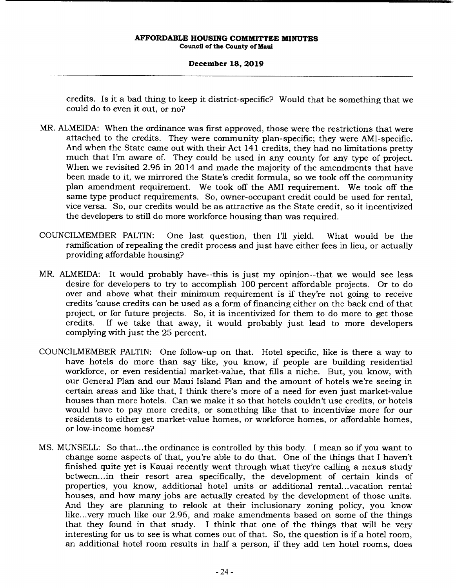# **December 18, 2019**

credits. Is it a bad thing to keep it district-specific? Would that be something that we could do to even it out, or no?

- MR. ALMEIDA: When the ordinance was first approved, those were the restrictions that were attached to the credits. They were community plan-specific; they were AMI-specific. And when the State came out with their Act 141 credits, they had no limitations pretty much that I'm aware of. They could be used in any county for any type of project. When we revisited 2.96 in 2014 and made the majority of the amendments that have been made to it, we mirrored the State's credit formula, so we took off the community plan amendment requirement. We took off the AMI requirement. We took off the same type product requirements. So, owner-occupant credit could be used for rental, vice versa. So, our credits would be as attractive as the State credit, so it incentivized the developers to still do more workforce housing than was required.
- COUNCILMEMBER PALTIN: One last question, then I'll yield. What would be the ramification of repealing the credit process and just have either fees in lieu, or actually providing affordable housing?
- MR. ALMEIDA: It would probably have--this is just my opinion--that we would see less desire for developers to try to accomplish 100 percent affordable projects. Or to do over and above what their minimum requirement is if they're not going to receive credits 'cause credits can be used as a form of financing either on the back end of that project, or for future projects. So, it is incentivized for them to do more to get those credits. If we take that away, it would probably just lead to more developers If we take that away, it would probably just lead to more developers complying with just the 25 percent.
- COUNCILMEMBER PALTIN: One follow-up on that. Hotel specific, like is there a way to have hotels do more than say like, you know, if people are building residential workforce, or even residential market-value, that fills a niche. But, you know, with our General Plan and our Maui Island Plan and the amount of hotels we're seeing in certain areas and like that, I think there's more of a need for even just market-value houses than more hotels. Can we make it so that hotels couldn't use credits, or hotels would have to pay more credits, or something like that to incentivize more for our residents to either get market-value homes, or workforce homes, or affordable homes, or low-income homes?
- MS. MUNSELL: So that... the ordinance is controlled by this body. I mean so if you want to change some aspects of that, you're able to do that. One of the things that I haven't finished quite yet is Kauai recently went through what they're calling a nexus study between... in their resort area specifically, the development of certain kinds of properties, you know, additional hotel units or additional rental.. .vacation rental houses, and how many jobs are actually created by the development of those units. And they are planning to relook at their inclusionary zoning policy, you know like.. .very much like our 2.96, and make amendments based on some of the things that they found in that study. I think that one of the things that will be very interesting for us to see is what comes out of that. So, the question is if a hotel room, an additional hotel room results in half a person, if they add ten hotel rooms, does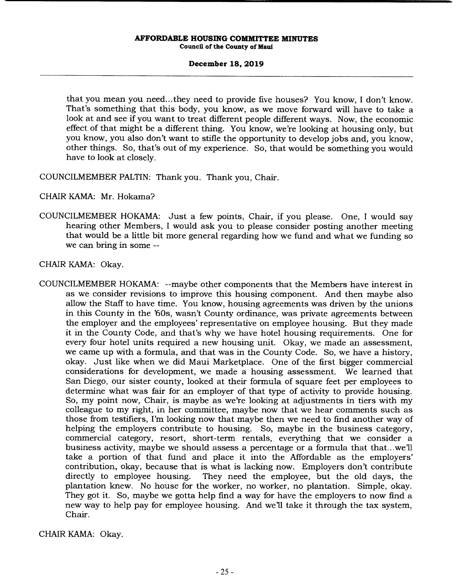# **December 18, 2019**

that you mean you need... they need to provide five houses? You know, I don't know. That's something that this body, you know, as we move forward will have to take a look at and see if you want to treat different people different ways. Now, the economic effect of that might be a different thing. You know, we're looking at housing only, but you know, you also don't want to stifle the opportunity to develop jobs and, you know, other things. So, that's out of my experience. So, that would be something you would have to look at closely.

COUNCILMEMBER PALTIN: Thank you. Thank you, Chair.

CHAIR KAMA: Mr. Hokama?

COUNCILMEMBER HOKAMA: Just a few points, Chair, if you please. One, I would say hearing other Members, I would ask you to please consider posting another meeting that would be a little bit more general regarding how we fund and what we funding so we can bring in some --

CHAIR KAMA: Okay.

COUNCILMEMBER HOKAMA: --maybe other components that the Members have interest in as we consider revisions to improve this housing component. And then maybe also allow the Staff to have time. You know, housing agreements was driven by the unions in this County in the '60s, wasn't County ordinance, was private agreements between the employer and the employees' representative on employee housing. But they made it in the County Code, and that's why we have hotel housing requirements. One for every four hotel units required a new housing unit. Okay, we made an assessment, we came up with a formula, and that was in the County Code. So, we have a history, okay. Just like when we did Maui Marketplace. One of the first bigger commercial considerations for development, we made a housing assessment. We learned that San Diego, our sister county, looked at their formula of square feet per employees to determine what was fair for an employer of that type of activity to provide housing. So, my point now, Chair, is maybe as we're looking at adjustments in tiers with my colleague to my right, in her committee, maybe now that we hear comments such as those from testifiers, I'm looking now that maybe then we need to find another way of helping the employers contribute to housing. So, maybe in the business category, commercial category, resort, short-term rentals, everything that we consider a business activity, maybe we should assess a percentage or a formula that that...we'll take a portion of that fund and place it into the Affordable as the employers' contribution, okay, because that is what is lacking now. Employers don't contribute directly to employee housing. They need the employee, but the old days, the plantation knew. No house for the worker, no worker, no plantation. Simple, okay. They got it. So, maybe we gotta help find a way for have the employers to now find a new way to help pay for employee housing. And we'll take it through the tax system, Chair.

CHAIR KAMA: Okay.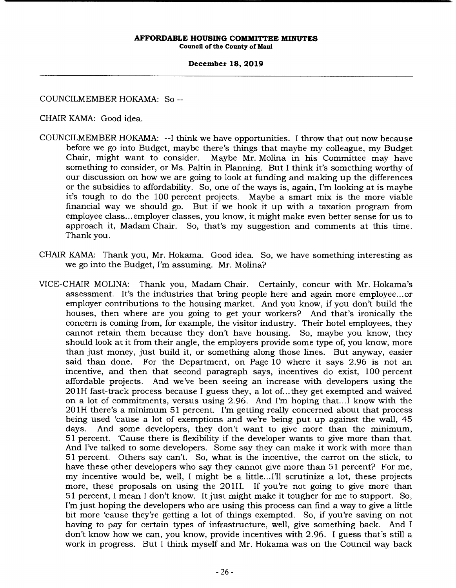# **December 18, 2019**

COUNCILMEMBER HOKAMA: So --

CHAIR KAMA: Good idea.

- COUNCILMEMBER HOKAMA: --I think we have opportunities. I throw that out now because before we go into Budget, maybe there's things that maybe my colleague, my Budget Chair, might want to consider. Maybe Mr. Molina in his Committee may have something to consider, or Ms. Paltin in Planning. But I think it's something worthy of our discussion on how we are going to look at funding and making up the differences or the subsidies to affordability. So, one of the ways is, again, I'm looking at is maybe it's tough to do the 100 percent projects. Maybe a smart mix is the more viable financial way we should go. But if we hook it up with a taxation program from employee class.., employer classes, you know, it might make even better sense for us to approach it, Madam Chair. So, that's my suggestion and comments at this time. Thank you.
- CHAIR KAMA: Thank you, Mr. Hokama. Good idea. So, we have something interesting as we go into the Budget, I'm assuming. Mr. Molina?
- VICE-CHAIR MOLINA: Thank you, Madam Chair. Certainly, concur with Mr. Hokama's assessment. It's the industries that bring people here and again more employee.., or employer contributions to the housing market. And you know, if you don't build the houses, then where are you going to get your workers? And that's ironically the concern is coming from, for example, the visitor industry. Their hotel employees, they cannot retain them because they don't have housing. So, maybe you know, they should look at it from their angle, the employers provide some type of, you know, more than just money, just build it, or something along those lines. But anyway, easier said than done. For the Department, on Page 10 where it says 2.96 is not an incentive, and then that second paragraph says, incentives do exist, 100 percent affordable projects. And we've been seeing an increase with developers using the 201H fast-track process because I guess they, a lot of...they get exempted and waived on a lot of commitments, versus using 2.96. And I'm hoping that.. .1 know with the 201H there's a minimum 51 percent. I'm getting really concerned about that process being used 'cause a lot of exemptions and we're being put up against the wall, 45 days. And some developers, they don't want to give more than the minimum, 51 percent. 'Cause there is flexibility if the developer wants to give more than that. And I've talked to some developers. Some say they can make it work with more than 51 percent. Others say can't. So, what is the incentive, the carrot on the stick, to have these other developers who say they cannot give more than 51 percent? For me, my incentive would be, well, I might be a little...I'll scrutinize a lot, these projects more, these proposals on using the 201H. If you're not going to give more than 51 percent, I mean I don't know. It just might make it tougher for me to support. So, I'm just hoping the developers who are using this process can find a way to give a little bit more 'cause they're getting a lot of things exempted. So, if you're saving on not having to pay for certain types of infrastructure, well, give something back. And I don't know how we can, you know, provide incentives with 2.96. I guess that's still a work in progress. But I think myself and Mr. Hokama was on the Council way back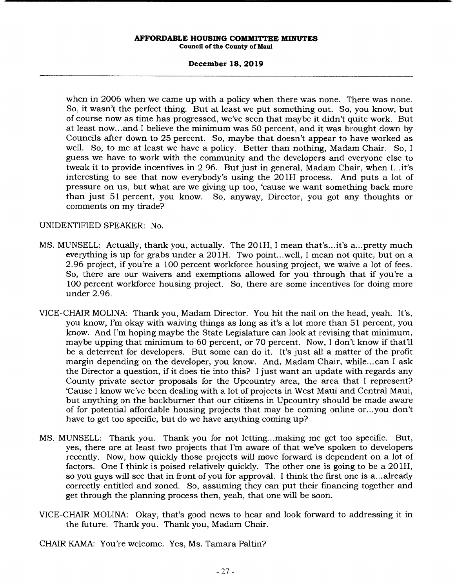# **December 18, 2019**

when in 2006 when we came up with a policy when there was none. There was none. So, it wasn't the perfect thing. But at least we put something out. So, you know, but of course now as time has progressed, we've seen that maybe it didn't quite work. But at least now.., and I believe the minimum was 50 percent, and it was brought down by Councils after down to 25 percent. So, maybe that doesn't appear to have worked as well. So, to me at least we have a policy. Better than nothing, Madam Chair. So, I guess we have to work with the community and the developers and everyone else to tweak it to provide incentives in 2.96. But just in general, Madam Chair, when I... it's interesting to see that now everybody's using the 201H process. And puts a lot of pressure on us, but what are we giving up too, 'cause we want something back more than just 51 percent, you know. So, anyway, Director, you got any thoughts or comments on my tirade?

# UNIDENTIFIED SPEAKER: No.

- MS. MUNSELL: Actually, thank you, actually. The 201H, I mean that's...it's a... pretty much everything is up for grabs under a 201H. Two point...well, I mean not quite, but on a 2.96 project, if you're a 100 percent workforce housing project, we waive a lot of fees. So, there are our waivers and exemptions allowed for you through that if you're a 100 percent workforce housing project. So, there are some incentives for doing more under 2.96.
- VICE-CHAIR MOLINA: Thank you, Madam Director. You hit the nail on the head, yeah. It's, you know, I'm okay with waiving things as long as it's a lot more than 51 percent, you know. And I'm hoping maybe the State Legislature can look at revising that minimum, maybe upping that minimum to 60 percent, or 70 percent. Now, I don't know if that'll be a deterrent for developers. But some can do it. It's just all a matter of the profit margin depending on the developer, you know. And, Madam Chair, while... can I ask the Director a question, if it does tie into this? I just want an update with regards any County private sector proposals for the Upcountry area, the area that I represent? 'Cause I know we've been dealing with a lot of projects in West Maui and Central Maui, but anything on the backburner that our citizens in Upcountry should be made aware of for potential affordable housing projects that may be coming online or.. .you don't have to get too specific, but do we have anything coming up?
- MS. MUNSELL: Thank you. Thank you for not letting.. .making me get too specific. But, yes, there are at least two projects that I'm aware of that we've spoken to developers recently. Now, how quickly those projects will move forward is dependent on a lot of factors. One I think is poised relatively quickly. The other one is going to be a 20 1H, so you guys will see that in front of you for approval. I think the first one is a... already correctly entitled and zoned. So, assuming they can put their financing together and get through the planning process then, yeah, that one will be soon.
- VICE-CHAIR MOLINA: Okay, that's good news to hear and look forward to addressing it in the future. Thank you. Thank you, Madam Chair.
- CHAIR KAMA: You're welcome. Yes, Ms. Tamara Paltin?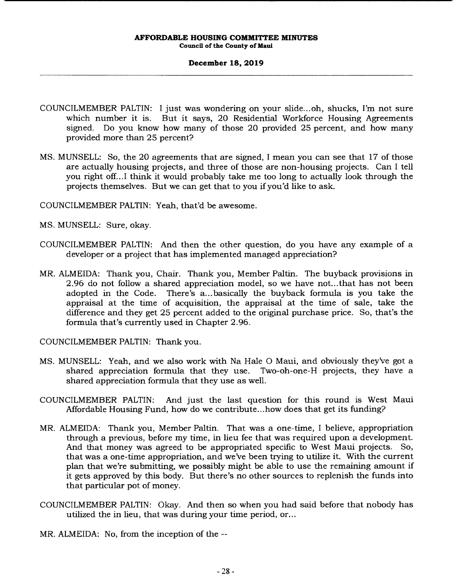## **December 18, 2019**

- COUNCILMEMBER PALTIN: I just was wondering on your slide.., oh, shucks, I'm not sure which number it is. But it says, 20 Residential Workforce Housing Agreements signed. Do you know how many of those 20 provided 25 percent, and how many provided more than 25 percent?
- MS. MUNSELL: So, the 20 agreements that are signed, I mean you can see that 17 of those are actually housing projects, and three of those are non-housing projects. Can I tell you right off... I think it would probably take me too long to actually look through the projects themselves. But we can get that to you if you'd like to ask.

COUNCILMEMBER PALTIN: Yeah, that'd be awesome.

MS. MUNSELL: Sure, okay.

- COUNCILMEMBER PALTIN: And then the other question, do you have any example of a developer or a project that has implemented managed appreciation?
- MR. ALMEIDA: Thank you, Chair. Thank you, Member Paltin. The buyback provisions in 2.96 do not follow a shared appreciation model, so we have not.., that has not been adopted in the Code. There's a... basically the buyback formula is you take the appraisal at the time of acquisition, the appraisal at the time of sale, take the difference and they get 25 percent added to the original purchase price. So, that's the formula that's currently used in Chapter 2.96.

COUNCILMEMBER PALTIN: Thank you.

- MS. MUNSELL: Yeah, and we also work with Na Hale 0 Maui, and obviously they've got a shared appreciation formula that they use. shared appreciation formula that they use as well.
- COUNCILMEMBER PALTIN: And just the last question for this round is West Maui Affordable Housing Fund, how do we contribute.., how does that get its funding?
- MR. ALMEIDA: Thank you, Member Paltin. That was a one-time, I believe, appropriation through a previous, before my time, in lieu fee that was required upon a development. And that money was agreed to be appropriated specific to West Maui projects. So, that was a one-time appropriation, and we've been trying to utilize it. With the current plan that we're submitting, we possibly might be able to use the remaining amount if it gets approved by this body. But there's no other sources to replenish the funds into that particular pot of money.
- COUNCILMEMBER PALTIN: Okay. And then so when you had said before that nobody has utilized the in lieu, that was during your time period, or...

MR. ALMEIDA: No, from the inception of the --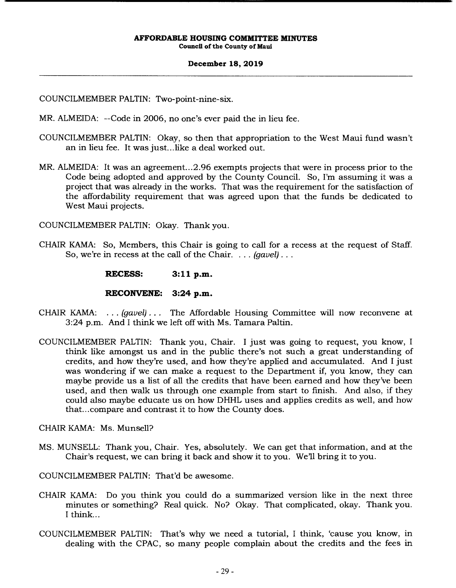### **December 18, 2019**

COUNCILMEMBER PALTIN: Two-point-nine-six.

MR. ALMEIDA: --Code in 2006, no one's ever paid the in lieu fee.

- COUNCILMEMBER PALTIN: Okay, so then that appropriation to the West Maui fund wasn't an in lieu fee. It was just... like a deal worked out.
- MR. ALMEIDA: It was an agreement...2.96 exempts projects that were in process prior to the Code being adopted and approved by the County Council. So, I'm assuming it was a project that was already in the works. That was the requirement for the satisfaction of the affordability requirement that was agreed upon that the funds be dedicated to West Maui projects.

COUNCILMEMBER PALTIN: Okay. Thank you.

CHAIR KAMA: So, Members, this Chair is going to call for a recess at the request of Staff. So, we're in recess at the call of the Chair. . . . *(gavel)..* 

**RECESS: 3:11 p.m.** 

**RECONVENE: 3:24 p.m.** 

- CHAIR KAMA: . . . *(gavel)...* The Affordable Housing Committee will now reconvene at 3:24 p.m. And I think we left off with Ms. Tamara Paltin.
- COUNCILMEMBER PALTIN: Thank you, Chair. I just was going to request, you know, I think like amongst us and in the public there's not such a great understanding of credits, and how they're used, and how they're applied and accumulated. And I just was wondering if we can make a request to the Department if, you know, they can maybe provide us a list of all the credits that have been earned and how they've been used, and then walk us through one example from start to finish. And also, if they could also maybe educate us on how DHHL uses and applies credits as well, and how that... compare and contrast it to how the County does.

CHAIR KAMA: Ms. Munsell?

MS. MUNSELL: Thank you, Chair. Yes, absolutely. We can get that information, and at the Chair's request, we can bring it back and show it to you. Well bring it to you.

COUNCILMEMBER PALTIN: That'd be awesome.

- CHAIR KAMA: Do you think you could do a summarized version like in the next three minutes or something? Real quick. No? Okay. That complicated, okay. Thank you. I think...
- COUNCILMEMBER PALTIN: That's why we need a tutorial, I think, 'cause you know, in dealing with the CPAC, so many people complain about the credits and the fees in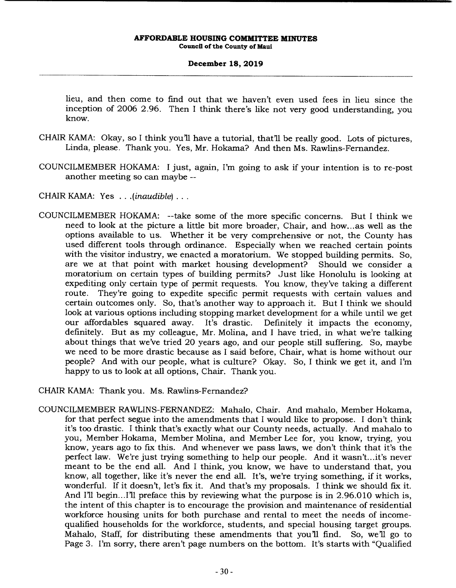# **December 18, 2019**

lieu, and then come to find out that we haven't even used fees in lieu since the inception of 2006 2.96. Then I think there's like not very good understanding, you know.

- CHAIR KAMA: Okay, so I think you'll have a tutorial, that'll be really good. Lots of pictures, Linda, please. Thank you. Yes, Mr. Hokama? And then Ms. Rawlins-Fernandez.
- COUNCILMEMBER HOKAMA: I just, again, I'm going to ask if your intention is to re-post another meeting so can maybe --
- CHAIR KAMA: Yes . . . *(inaudible)...*
- COUNCILMEMBER HOKAMA: --take some of the more specific concerns. But I think we need to look at the picture a little bit more broader, Chair, and how... as well as the options available to us. Whether it be very comprehensive or not, the County has used different tools through ordinance. Especially when we reached certain points with the visitor industry, we enacted a moratorium. We stopped building permits. So, are we at that point with market housing development? Should we consider a moratorium on certain types of building permits? Just like Honolulu is looking at expediting only certain type of permit requests. You know, they've taking a different route. They're going to expedite specific permit requests with certain values and certain outcomes only. So, that's another way to approach it. But I think we should look at various options including stopping market development for a while until we get our affordables squared away. It's drastic. Definitely it impacts the economy, our affordables squared away. It's drastic. definitely. But as my colleague, Mr. Molina, and I have tried, in what we're talking about things that we've tried 20 years ago, and our people still suffering. So, maybe we need to be more drastic because as I said before, Chair, what is home without our people? And with our people, what is culture? Okay. So, I think we get it, and I'm happy to us to look at all options, Chair. Thank you.

CHAIR KAMA: Thank you. Ms. Rawlins-Fernandez?

COUNCILMEMBER RAWLINS-FERNANDEZ: Mahalo, Chair. And mahalo, Member Hokama, for that perfect segue into the amendments that I would like to propose. I don't think it's too drastic. I think that's exactly what our County needs, actually. And mahalo to you, Member Hokama, Member Molina, and Member Lee for, you know, trying, you know, years ago to fix this. And whenever we pass laws, we don't think that it's the perfect law. We're just trying something to help our people. And it wasn't... it's never meant to be the end all. And I think, you know, we have to understand that, you know, all together, like it's never the end all. It's, we're trying something, if it works, wonderful. If it doesn't, let's fix it. And that's my proposals. I think we should fix it. And I'll begin... I'll preface this by reviewing what the purpose is in 2.96.010 which is, the intent of this chapter is to encourage the provision and maintenance of residential workforce housing units for both purchase and rental to meet the needs of incomequalified households for the workforce, students, and special housing target groups. Mahalo, Staff, for distributing these amendments that you'll find. So, we'll go to Page 3. I'm sorry, there aren't page numbers on the bottom. It's starts with "Qualified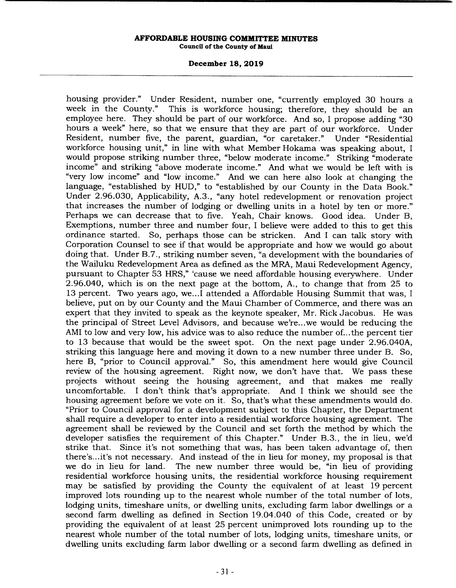# **December 18, 2019**

housing provider." Under Resident, number one, "currently employed 30 hours a week in the County." This is workforce housing; therefore, they should be an employee here. They should be part of our workforce. And so, I propose adding "30 hours a week" here, so that we ensure that they are part of our workforce. Under Resident, number five, the parent, guardian, "or caretaker." Under "Residential workforce housing unit," in line with what Member Hokama was speaking about, I would propose striking number three, "below moderate income." Striking "moderate income" and striking "above moderate income." And what we would be left with is "very low income" and "low income." And we can here also look at changing the language, "established by HUD," to "established by our County in the Data Book." Under 2.96.030, Applicability, A.3., "any hotel redevelopment or renovation project that increases the number of lodging or dwelling units in a hotel by ten or more." Perhaps we can decrease that to five. Yeah, Chair knows. Good idea. Under B, Exemptions, number three and number four, I believe were added to this to get this ordinance started. So, perhaps those can be stricken. And I can talk story with Corporation Counsel to see if that would be appropriate and how we would go about doing that. Under B.7., striking number seven, "a development with the boundaries of the Wailuku Redevelopment Area as defined as the MRA, Maui Redevelopment Agency, pursuant to Chapter 53 HRS," 'cause we need affordable housing everywhere. Under 2.96.040, which is on the next page at the bottom, A., to change that from 25 to 13 percent. Two years ago, we.. .1 attended a Affordable Housing Summit that was, I believe, put on by our County and the Maui Chamber of Commerce, and there was an expert that they invited to speak as the keynote speaker, Mr. Rick Jacobus. He was the principal of Street Level Advisors, and because we're...we would be reducing the AMI to low and very low, his advice was to also reduce the number of... the percent tier to 13 because that would be the sweet spot. On the next page under 2.96.040A, striking this language here and moving it down to a new number three under B. So, here B, "prior to Council approval." So, this amendment here would give Council review of the housing agreement. Right now, we don't have that. We pass these projects without seeing the housing agreement, and that makes me really uncomfortable. I don't think that's appropriate. And I think we should see the housing agreement before we vote on it. So, that's what these amendments would do. "Prior to Council approval for a development subject to this Chapter, the Department shall require a developer to enter into a residential workforce housing agreement. The agreement shall be reviewed by the Council and set forth the method by which the developer satisfies the requirement of this Chapter." Under B.3., the in lieu, we'd strike that. Since it's not something that was, has been taken advantage of, then there's... it's not necessary. And instead of the in lieu for money, my proposal is that we do in lieu for land. The new number three would be, "in lieu of providing residential workforce housing units, the residential workforce housing requirement may be satisfied by providing the County the equivalent of at least 19 percent improved lots rounding up to the nearest whole number of the total number of lots, lodging units, timeshare units, or dwelling units, excluding farm labor dwellings or a second farm dwelling as defined in Section 19.04.040 of this Code, created or by providing the equivalent of at least 25 percent unimproved lots rounding up to the nearest whole number of the total number of lots, lodging units, timeshare units, or dwelling units excluding farm labor dwelling or a second farm dwelling as defined in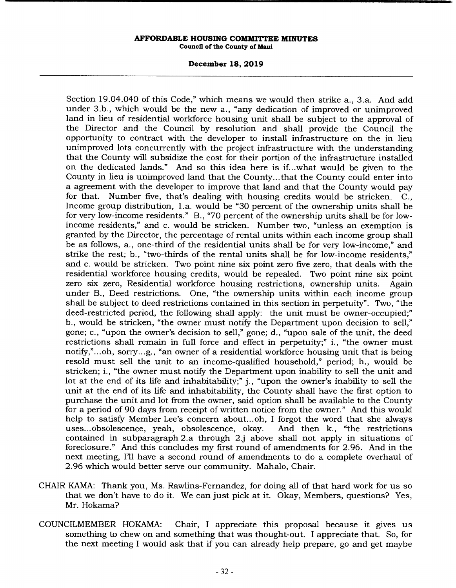### **December 18, 2019**

Section 19.04.040 of this Code," which means we would then strike a., 3.a. And add under 3.b., which would be the new a., "any dedication of improved or unimproved land in lieu of residential workforce housing unit shall be subject to the approval of the Director and the Council by resolution and shall provide the Council the opportunity to contract with the developer to install infrastructure on the in lieu unimproved lots concurrently with the project infrastructure with the understanding that the County will subsidize the cost for their portion of the infrastructure installed on the dedicated lands." And so this idea here is if.. .what would be given to the County in lieu is unimproved land that the County... that the County could enter into a agreement with the developer to improve that land and that the County would pay for that. Number five, that's dealing with housing credits would be stricken. C., Income group distribution, La. would be "30 percent of the ownership units shall be for very low-income residents." B., "70 percent of the ownership units shall be for lowincome residents," and c. would be stricken. Number two, "unless an exemption is granted by the Director, the percentage of rental units within each income group shall be as follows, a., one-third of the residential units shall be for very low-income," and strike the rest; b., "two-thirds of the rental units shall be for low-income residents," and c. would be stricken. Two point nine six point zero five zero, that deals with the residential workforce housing credits, would be repealed. Two point nine six point zero six zero, Residential workforce housing restrictions, ownership units. Again under B., Deed restrictions. One, "the ownership units within each income group shall be subject to deed restrictions contained in this section in perpetuity". Two, "the deed-restricted period, the following shall apply: the unit must be owner-occupied;" b., would be stricken, "the owner must notify the Department upon decision to sell," gone; c., "upon the owner's decision to sell," gone; d., "upon sale of the unit, the deed restrictions shall remain in full force and effect in perpetuity;" i., "the owner must notify,"...oh, sorry...g., "an owner of a residential workforce housing unit that is being resold must sell the unit to an income-qualified household," period; h., would be stricken; i., "the owner must notify the Department upon inability to sell the unit and lot at the end of its life and inhabitability;" j., "upon the owner's inability to sell the unit at the end of its life and inhabitability, the County shall have the first option to purchase the unit and lot from the owner, said option shall be available to the County for a period of 90 days from receipt of written notice from the owner." And this would help to satisfy Member Lee's concern about...oh, I forgot the word that she always uses... obsolescence, yeah, obsolescence, okay. And then k., "the restrictions contained in subparagraph 2.a through 2.j above shall not apply in situations of foreclosure." And this concludes my first round of amendments for 2.96. And in the next meeting, I'll have a second round of amendments to do a complete overhaul of 2.96 which would better serve our community. Mahalo, Chair.

- CHAIR KAMA: Thank you, Ms. Rawlins-Fernandez, for doing all of that hard work for us so that we don't have to do it. We can just pick at it. Okay, Members, questions? Yes, Mr. Hokama?
- COUNCILMEMBER HOKAMA: Chair, I appreciate this proposal because it gives us something to chew on and something that was thought-out. I appreciate that. So, for the next meeting I would ask that if you can already help prepare, go and get maybe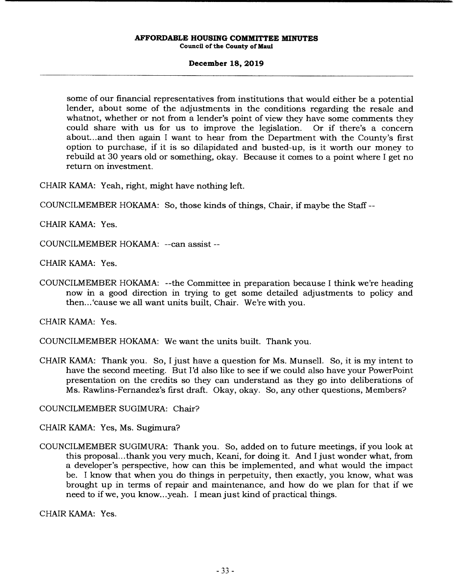# **December 18, 2019**

some of our financial representatives from institutions that would either be a potential lender, about some of the adjustments in the conditions regarding the resale and whatnot, whether or not from a lender's point of view they have some comments they could share with us for us to improve the legislation. Or if there's a concern about... and then again I want to hear from the Department with the County's first option to purchase, if it is so dilapidated and busted-up, is it worth our money to rebuild at 30 years old or something, okay. Because it comes to a point where I get no return on investment.

CHAIR KAMA: Yeah, right, might have nothing left.

COUNCILMEMBER HOKAMA: So, those kinds of things, Chair, if maybe the Staff --

CHAIR KAMA: Yes.

COUNCILMEMBER HOKAMA: --can assist --

CHAIR KAMA: Yes.

COUNCILMEMBER HOKAMA: --the Committee in preparation because I think we're heading now in a good direction in trying to get some detailed adjustments to policy and then... 'cause we all want units built, Chair. We're with you.

CHAIR KAMA: Yes.

COUNCILMEMBER HOKAMA: We want the units built. Thank you.

CHAIR KAMA: Thank you. So, I just have a question for Ms. Munsell. So, it is my intent to have the second meeting. But I'd also like to see if we could also have your PowerPoint presentation on the credits so they can understand as they go into deliberations of Ms. Rawlins-Fernandez's first draft. Okay, okay. So, any other questions, Members?

COUNCILMEMBER SUGIMURA: Chair?

CHAIR KAMA: Yes, Ms. Sugimura?

COUNCILMEMBER SUGIMURA: Thank you. So, added on to future meetings, if you look at this proposal... thank you very much, Keani, for doing it. And I just wonder what, from a developer's perspective, how can this be implemented, and what would the impact be. I know that when you do things in perpetuity, then exactly, you know, what was brought up in terms of repair and maintenance, and how do we plan for that if we need to if we, you know.. .yeah. I mean just kind of practical things.

CHAIR KAMA: Yes.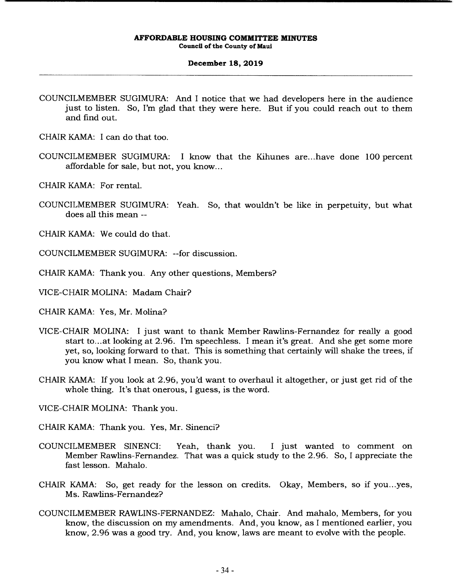### **December 18, 2019**

COUNCILMEMBER SUGIMURA: And I notice that we had developers here in the audience just to listen. So, I'm glad that they were here. But if you could reach out to them and find out.

CHAIR KAMA: I can do that too.

- COUNCILMEMBER SUGIMURA: I know that the Kihunes are.. .have done 100 percent affordable for sale, but not, you know...
- CHAIR KAMA: For rental.
- COUNCILMEMBER SUGIMURA: Yeah. So, that wouldn't be like in perpetuity, but what does all this mean --
- CHAIR KAMA: We could do that.
- COUNCILMEMBER SUGIMURA: --for discussion.
- CHAIR KAMA: Thank you. Any other questions, Members?
- VICE-CHAIR MOLINA: Madam Chair?
- CHAIR KAMA: Yes, Mr. Molina?
- VICE-CHAIR MOLINA: I just want to thank Member Rawlins-Fernandez for really a good start to.. .at looking at 2.96. I'm speechless. I mean it's great. And she get some more yet, so, looking forward to that. This is something that certainly will shake the trees, if you know what I mean. So, thank you.
- CHAIR KAMA: If you look at 2.96, you'd want to overhaul it altogether, or just get rid of the whole thing. It's that onerous, I guess, is the word.
- VICE-CHAIR MOLINA: Thank you.
- CHAIR KAMA: Thank you. Yes, Mr. Sinenci?
- COUNCILMEMBER SINENCI: Yeah, thank you. I just wanted to comment on Member Rawlins-Fernandez. That was a quick study to the 2.96. So, I appreciate the fast lesson. Mahalo.
- CHAIR KAMA: So, get ready for the lesson on credits. Okay, Members, so if you...yes, Ms. Rawlins-Fernandez?
- COUNCILMEMBER RAWLINS-FERNANDEZ: Mahalo, Chair. And mahalo, Members, for you know, the discussion on my amendments. And, you know, as I mentioned earlier, you know, 2.96 was a good try. And, you know, laws are meant to evolve with the people.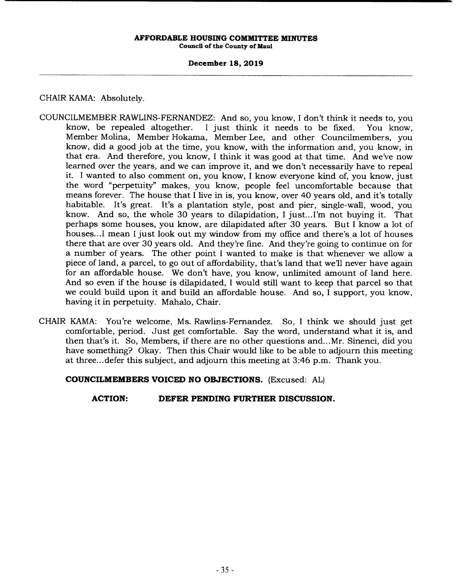## **December 18, 2019**

# CHAIR KAMA: Absolutely.

- COUNCILMEMBER RAWLINS-FERNANDEZ: And so, you know, I don't think it needs to, you I just think it needs to be fixed. You know, Member Molina, Member Hokama, Member Lee, and other Councilmembers, you know, did a good job at the time, you know, with the information and, you know, in that era. And therefore, you know, I think it was good at that time. And we've now learned over the years, and we can improve it, and we don't necessarily have to repeal it. I wanted to also comment on, you know, I know everyone kind of, you know, just the word "perpetuity" makes, you know, people feel uncomfortable because that means forever. The house that I live in is, you know, over 40 years old, and it's totally habitable. It's great. It's a plantation style, post and pier, single-wall, wood, you know. And so, the whole 30 years to dilapidation, I just... I'm not buying it. That perhaps some houses, you know, are dilapidated after 30 years. But I know a lot of houses... I mean I just look out my window from my office and there's a lot of houses there that are over 30 years old. And they're fine. And they're going to continue on for a number of years. The other point I wanted to make is that whenever we allow a piece of land, a parcel, to go out of affordability, that's land that we'll never have again for an affordable house. We don't have, you know, unlimited amount of land here. And so even if the house is dilapidated, I would still want to keep that parcel so that we could build upon it and build an affordable house. And so, I support, you know, having it in perpetuity. Mahalo, Chair.
- CHAIR KAMA: You're welcome, Ms. Rawlins-Fernandez. So, I think we should just get comfortable, period. Just get comfortable. Say the word, understand what it is, and then that's it. So, Members, if there are no other questions and... Mr. Sinenci, did you have something? Okay. Then this Chair would like to be able to adjourn this meeting at three.. .defer this subject, and adjourn this meeting at 3:46 p.m. Thank you.

**COUNCILMEMBERS VOICED NO OBJECTIONS.** (Excused: AL)

**ACTION: DEFER PENDING FURTHER DISCUSSION.**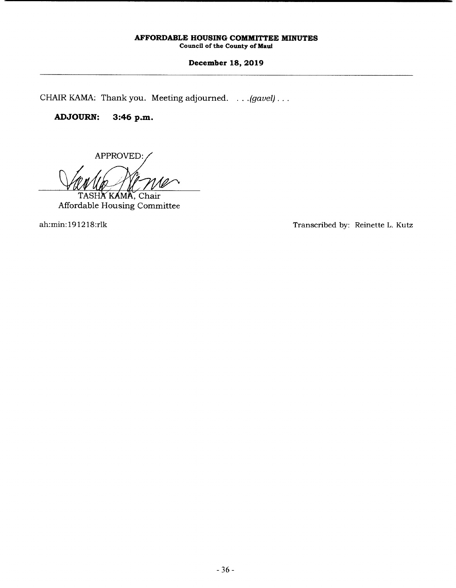# **December 18, 2019**

CHAIR KAMA: Thank you. Meeting adjourned. . . .*(gavel) ...* 

# **ADJOURN: 3:46 p.m.**

APPROVED:

TASHA KAMA, Chair Affordable Housing Committee

ah:min: 1912 18:rlk Transcribed by: Reinette L. Kutz